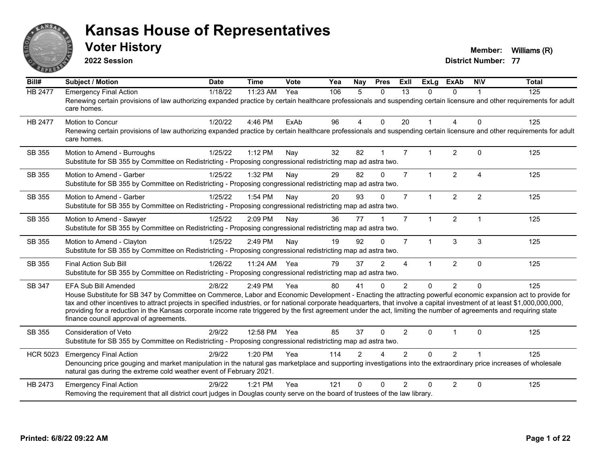

**2022 Session**

**Voter History Member: Williams** (R)

| Bill#           | <b>Subject / Motion</b>                                                                                                                                                                                                                                                                                                                                                                                                                                                                                                                                                                            | <b>Date</b> | <b>Time</b> | <b>Vote</b> | Yea | Nay            | <b>Pres</b>    | ExII                   | <b>ExLg</b>          | <b>ExAb</b>    | <b>NIV</b>     | <b>Total</b> |
|-----------------|----------------------------------------------------------------------------------------------------------------------------------------------------------------------------------------------------------------------------------------------------------------------------------------------------------------------------------------------------------------------------------------------------------------------------------------------------------------------------------------------------------------------------------------------------------------------------------------------------|-------------|-------------|-------------|-----|----------------|----------------|------------------------|----------------------|----------------|----------------|--------------|
| <b>HB 2477</b>  | <b>Emergency Final Action</b><br>Renewing certain provisions of law authorizing expanded practice by certain healthcare professionals and suspending certain licensure and other requirements for adult<br>care homes.                                                                                                                                                                                                                                                                                                                                                                             | 1/18/22     | 11:23 AM    | Yea         | 106 | 5              | $\Omega$       | 13                     | 0                    | $\Omega$       |                | 125          |
| <b>HB 2477</b>  | Motion to Concur<br>Renewing certain provisions of law authorizing expanded practice by certain healthcare professionals and suspending certain licensure and other requirements for adult<br>care homes.                                                                                                                                                                                                                                                                                                                                                                                          | 1/20/22     | 4:46 PM     | ExAb        | 96  | 4              | $\Omega$       | 20                     | 1                    | 4              | $\Omega$       | 125          |
| SB 355          | Motion to Amend - Burroughs<br>Substitute for SB 355 by Committee on Redistricting - Proposing congressional redistricting map ad astra two.                                                                                                                                                                                                                                                                                                                                                                                                                                                       | 1/25/22     | 1:12 PM     | Nay         | 32  | 82             |                | $\overline{7}$         |                      | $\overline{2}$ | $\Omega$       | 125          |
| SB 355          | Motion to Amend - Garber<br>Substitute for SB 355 by Committee on Redistricting - Proposing congressional redistricting map ad astra two.                                                                                                                                                                                                                                                                                                                                                                                                                                                          | 1/25/22     | 1:32 PM     | Nay         | 29  | 82             | $\Omega$       | $\overline{7}$         | $\mathbf{1}$         | $\overline{2}$ | $\overline{4}$ | 125          |
| SB 355          | Motion to Amend - Garber<br>Substitute for SB 355 by Committee on Redistricting - Proposing congressional redistricting map ad astra two.                                                                                                                                                                                                                                                                                                                                                                                                                                                          | 1/25/22     | 1:54 PM     | Nay         | 20  | 93             | $\mathbf{0}$   | $\overline{7}$         | 1                    | $\overline{2}$ | $\overline{2}$ | 125          |
| SB 355          | Motion to Amend - Sawyer<br>Substitute for SB 355 by Committee on Redistricting - Proposing congressional redistricting map ad astra two.                                                                                                                                                                                                                                                                                                                                                                                                                                                          | 1/25/22     | 2:09 PM     | Nay         | 36  | 77             |                | $\overline{7}$         | $\blacktriangleleft$ | $\overline{2}$ | $\overline{1}$ | 125          |
| SB 355          | Motion to Amend - Clayton<br>Substitute for SB 355 by Committee on Redistricting - Proposing congressional redistricting map ad astra two.                                                                                                                                                                                                                                                                                                                                                                                                                                                         | 1/25/22     | 2:49 PM     | Nay         | 19  | 92             | $\Omega$       | $\overline{7}$         | $\blacktriangleleft$ | 3              | 3              | 125          |
| SB 355          | <b>Final Action Sub Bill</b><br>Substitute for SB 355 by Committee on Redistricting - Proposing congressional redistricting map ad astra two.                                                                                                                                                                                                                                                                                                                                                                                                                                                      | 1/26/22     | 11:24 AM    | Yea         | 79  | 37             | $\overline{2}$ | $\boldsymbol{\Lambda}$ |                      | $\overline{2}$ | $\mathbf 0$    | 125          |
| SB 347          | <b>EFA Sub Bill Amended</b><br>House Substitute for SB 347 by Committee on Commerce, Labor and Economic Development - Enacting the attracting powerful economic expansion act to provide for<br>tax and other incentives to attract projects in specified industries, or for national corporate headquarters, that involve a capital investment of at least \$1,000,000,000,000,<br>providing for a reduction in the Kansas corporate income rate triggered by the first agreement under the act, limiting the number of agreements and requiring state<br>finance council approval of agreements. | 2/8/22      | 2:49 PM     | Yea         | 80  | 41             | $\Omega$       | 2                      | $\Omega$             | $\overline{2}$ | $\Omega$       | 125          |
| SB 355          | <b>Consideration of Veto</b><br>Substitute for SB 355 by Committee on Redistricting - Proposing congressional redistricting map ad astra two.                                                                                                                                                                                                                                                                                                                                                                                                                                                      | 2/9/22      | 12:58 PM    | Yea         | 85  | 37             | $\Omega$       | $\overline{2}$         | 0                    | 1              | $\Omega$       | 125          |
| <b>HCR 5023</b> | <b>Emergency Final Action</b><br>Denouncing price gouging and market manipulation in the natural gas marketplace and supporting investigations into the extraordinary price increases of wholesale<br>natural gas during the extreme cold weather event of February 2021.                                                                                                                                                                                                                                                                                                                          | 2/9/22      | 1:20 PM     | Yea         | 114 | $\overline{2}$ |                | $\overline{2}$         | 0                    | $\overline{2}$ |                | 125          |
| HB 2473         | <b>Emergency Final Action</b><br>Removing the requirement that all district court judges in Douglas county serve on the board of trustees of the law library.                                                                                                                                                                                                                                                                                                                                                                                                                                      | 2/9/22      | 1:21 PM     | Yea         | 121 | $\Omega$       | $\Omega$       | $\mathcal{P}$          | 0                    | $\overline{2}$ | $\mathbf 0$    | 125          |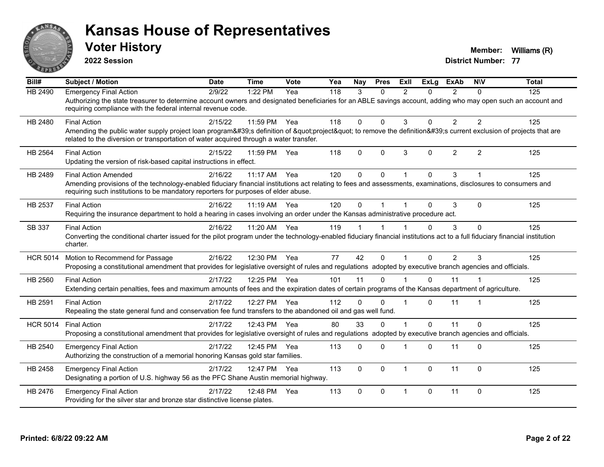

**2022 Session**

**Voter History Member: Williams** (R)

| Bill#           | <b>Subject / Motion</b>                                                                                                                                                                                                                                                              | <b>Date</b> | <b>Time</b> | Vote | Yea | <b>Nav</b> | <b>Pres</b> | ExIl           | <b>ExLg</b>  | <b>ExAb</b>    | <b>NIV</b>     | <b>Total</b> |
|-----------------|--------------------------------------------------------------------------------------------------------------------------------------------------------------------------------------------------------------------------------------------------------------------------------------|-------------|-------------|------|-----|------------|-------------|----------------|--------------|----------------|----------------|--------------|
| <b>HB 2490</b>  | <b>Emergency Final Action</b><br>Authorizing the state treasurer to determine account owners and designated beneficiaries for an ABLE savings account, adding who may open such an account and<br>requiring compliance with the federal internal revenue code.                       | 2/9/22      | 1:22 PM     | Yea  | 118 | 3          | $\Omega$    | $\mathfrak{p}$ | 0            | $\mathcal{P}$  | $\Omega$       | 125          |
| HB 2480         | <b>Final Action</b><br>Amending the public water supply project loan program's definition of "project" to remove the definition's current exclusion of projects that are<br>related to the diversion or transportation of water acquired through a water transfer.                   | 2/15/22     | 11:59 PM    | Yea  | 118 | $\Omega$   | $\Omega$    | 3              | $\Omega$     | $\overline{2}$ | $\overline{2}$ | 125          |
| HB 2564         | <b>Final Action</b><br>Updating the version of risk-based capital instructions in effect.                                                                                                                                                                                            | 2/15/22     | 11:59 PM    | Yea  | 118 | $\Omega$   | $\Omega$    | 3              | $\Omega$     | $\overline{2}$ | $\overline{2}$ | 125          |
| HB 2489         | <b>Final Action Amended</b><br>Amending provisions of the technology-enabled fiduciary financial institutions act relating to fees and assessments, examinations, disclosures to consumers and<br>requiring such institutions to be mandatory reporters for purposes of elder abuse. | 2/16/22     | 11:17 AM    | Yea  | 120 | $\Omega$   | $\Omega$    |                | $\Omega$     | 3              |                | 125          |
| HB 2537         | <b>Final Action</b><br>Requiring the insurance department to hold a hearing in cases involving an order under the Kansas administrative procedure act.                                                                                                                               | 2/16/22     | 11:19 AM    | Yea  | 120 | $\Omega$   |             |                | $\Omega$     | 3              | $\Omega$       | 125          |
| SB 337          | <b>Final Action</b><br>Converting the conditional charter issued for the pilot program under the technology-enabled fiduciary financial institutions act to a full fiduciary financial institution<br>charter.                                                                       | 2/16/22     | 11:20 AM    | Yea  | 119 |            |             |                | 0            | 3              | $\Omega$       | 125          |
| <b>HCR 5014</b> | Motion to Recommend for Passage<br>Proposing a constitutional amendment that provides for legislative oversight of rules and regulations adopted by executive branch agencies and officials.                                                                                         | 2/16/22     | 12:30 PM    | Yea  | 77  | 42         | $\Omega$    |                | 0            | $\overline{2}$ | 3              | 125          |
| HB 2560         | <b>Final Action</b><br>Extending certain penalties, fees and maximum amounts of fees and the expiration dates of certain programs of the Kansas department of agriculture.                                                                                                           | 2/17/22     | 12:25 PM    | Yea  | 101 | 11         | $\Omega$    |                | $\Omega$     | 11             |                | 125          |
| HB 2591         | <b>Final Action</b><br>Repealing the state general fund and conservation fee fund transfers to the abandoned oil and gas well fund.                                                                                                                                                  | 2/17/22     | 12:27 PM    | Yea  | 112 | $\Omega$   | $\Omega$    | $\overline{1}$ | $\Omega$     | 11             |                | 125          |
| <b>HCR 5014</b> | <b>Final Action</b><br>Proposing a constitutional amendment that provides for legislative oversight of rules and regulations adopted by executive branch agencies and officials.                                                                                                     | 2/17/22     | 12:43 PM    | Yea  | 80  | 33         | $\Omega$    |                | $\mathbf{0}$ | 11             | $\Omega$       | 125          |
| HB 2540         | <b>Emergency Final Action</b><br>Authorizing the construction of a memorial honoring Kansas gold star families.                                                                                                                                                                      | 2/17/22     | 12:45 PM    | Yea  | 113 | $\Omega$   | $\Omega$    |                | $\Omega$     | 11             | $\Omega$       | 125          |
| HB 2458         | <b>Emergency Final Action</b><br>Designating a portion of U.S. highway 56 as the PFC Shane Austin memorial highway.                                                                                                                                                                  | 2/17/22     | 12:47 PM    | Yea  | 113 | $\Omega$   | $\Omega$    | $\overline{1}$ | $\Omega$     | 11             | $\Omega$       | 125          |
| HB 2476         | <b>Emergency Final Action</b><br>Providing for the silver star and bronze star distinctive license plates.                                                                                                                                                                           | 2/17/22     | 12:48 PM    | Yea  | 113 | 0          | $\Omega$    |                | 0            | 11             | $\mathbf 0$    | 125          |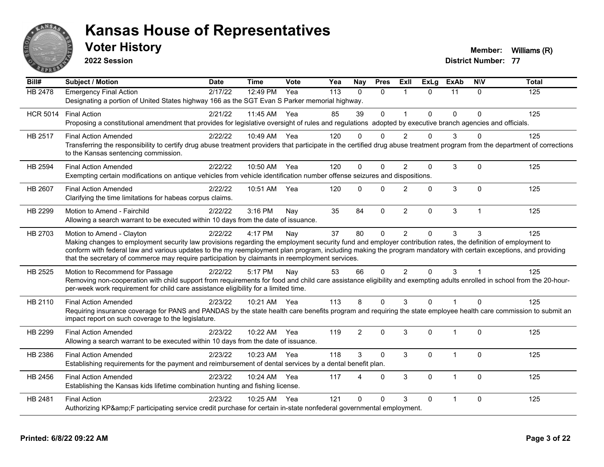

**2022 Session**

**Voter History Member: Williams** (R)

| $\overline{Bill#}$ | <b>Subject / Motion</b>                                                                                                                                                                                                                                                                                                                                                                                                                                         | <b>Date</b> | <b>Time</b>  | Vote | Yea | <b>Nay</b>     | <b>Pres</b>  | ExII           | $\overline{Ex}$ Lg | <b>ExAb</b>    | <b>NIV</b>     | <b>Total</b> |
|--------------------|-----------------------------------------------------------------------------------------------------------------------------------------------------------------------------------------------------------------------------------------------------------------------------------------------------------------------------------------------------------------------------------------------------------------------------------------------------------------|-------------|--------------|------|-----|----------------|--------------|----------------|--------------------|----------------|----------------|--------------|
| <b>HB 2478</b>     | <b>Emergency Final Action</b><br>Designating a portion of United States highway 166 as the SGT Evan S Parker memorial highway.                                                                                                                                                                                                                                                                                                                                  | 2/17/22     | 12:49 PM     | Yea  | 113 | $\mathbf{0}$   | $\mathbf{0}$ | $\overline{1}$ | $\Omega$           | 11             | $\Omega$       | 125          |
| <b>HCR 5014</b>    | <b>Final Action</b><br>Proposing a constitutional amendment that provides for legislative oversight of rules and regulations adopted by executive branch agencies and officials.                                                                                                                                                                                                                                                                                | 2/21/22     | 11:45 AM Yea |      | 85  | 39             | $\mathbf 0$  | $\mathbf{1}$   | 0                  | $\mathbf 0$    | $\Omega$       | 125          |
| HB 2517            | <b>Final Action Amended</b><br>Transferring the responsibility to certify drug abuse treatment providers that participate in the certified drug abuse treatment program from the department of corrections<br>to the Kansas sentencing commission.                                                                                                                                                                                                              | 2/22/22     | 10:49 AM Yea |      | 120 | $\Omega$       | $\Omega$     | 2              | $\Omega$           | 3              |                | 125          |
| HB 2594            | <b>Final Action Amended</b><br>Exempting certain modifications on antique vehicles from vehicle identification number offense seizures and dispositions.                                                                                                                                                                                                                                                                                                        | 2/22/22     | 10:50 AM Yea |      | 120 | $\Omega$       | $\mathbf{0}$ | $\overline{2}$ | 0                  | $\sqrt{3}$     | $\Omega$       | 125          |
| HB 2607            | <b>Final Action Amended</b><br>Clarifying the time limitations for habeas corpus claims.                                                                                                                                                                                                                                                                                                                                                                        | 2/22/22     | 10:51 AM     | Yea  | 120 | $\Omega$       | $\Omega$     | $\overline{2}$ | $\Omega$           | $\mathfrak{S}$ | $\Omega$       | 125          |
| HB 2299            | Motion to Amend - Fairchild<br>Allowing a search warrant to be executed within 10 days from the date of issuance.                                                                                                                                                                                                                                                                                                                                               | 2/22/22     | 3:16 PM      | Nay  | 35  | 84             | $\Omega$     | $\overline{2}$ | 0                  | $\mathfrak{S}$ | $\overline{1}$ | 125          |
| HB 2703            | Motion to Amend - Clayton<br>Making changes to employment security law provisions regarding the employment security fund and employer contribution rates, the definition of employment to<br>conform with federal law and various updates to the my reemployment plan program, including making the program mandatory with certain exceptions, and providing<br>that the secretary of commerce may require participation by claimants in reemployment services. | 2/22/22     | 4:17 PM      | Nay  | 37  | 80             | $\Omega$     | $\mathcal{P}$  | $\Omega$           | 3              | 3              | 125          |
| HB 2525            | Motion to Recommend for Passage<br>Removing non-cooperation with child support from requirements for food and child care assistance eligibility and exempting adults enrolled in school from the 20-hour-<br>per-week work requirement for child care assistance eligibility for a limited time.                                                                                                                                                                | 2/22/22     | 5:17 PM      | Nay  | 53  | 66             | $\mathbf{0}$ | $\overline{2}$ | $\Omega$           | 3              |                | 125          |
| HB 2110            | <b>Final Action Amended</b><br>Requiring insurance coverage for PANS and PANDAS by the state health care benefits program and requiring the state employee health care commission to submit an<br>impact report on such coverage to the legislature.                                                                                                                                                                                                            | 2/23/22     | 10:21 AM Yea |      | 113 | 8              | $\Omega$     | 3              | $\Omega$           |                | $\Omega$       | 125          |
| HB 2299            | <b>Final Action Amended</b><br>Allowing a search warrant to be executed within 10 days from the date of issuance.                                                                                                                                                                                                                                                                                                                                               | 2/23/22     | 10:22 AM     | Yea  | 119 | $\overline{2}$ | $\mathbf{0}$ | 3              | $\mathbf{0}$       | $\mathbf{1}$   | $\Omega$       | 125          |
| HB 2386            | <b>Final Action Amended</b><br>Establishing requirements for the payment and reimbursement of dental services by a dental benefit plan.                                                                                                                                                                                                                                                                                                                         | 2/23/22     | 10:23 AM     | Yea  | 118 | 3              | $\mathbf 0$  | 3              | 0                  | $\overline{1}$ | $\mathbf 0$    | 125          |
| HB 2456            | <b>Final Action Amended</b><br>Establishing the Kansas kids lifetime combination hunting and fishing license.                                                                                                                                                                                                                                                                                                                                                   | 2/23/22     | 10:24 AM     | Yea  | 117 | 4              | $\mathbf{0}$ | 3              | $\Omega$           | $\overline{1}$ | $\Omega$       | 125          |
| HB 2481            | <b>Final Action</b><br>Authorizing KP&F participating service credit purchase for certain in-state nonfederal governmental employment.                                                                                                                                                                                                                                                                                                                          | 2/23/22     | 10:25 AM     | Yea  | 121 | $\Omega$       | $\Omega$     | 3              | 0                  |                | $\Omega$       | 125          |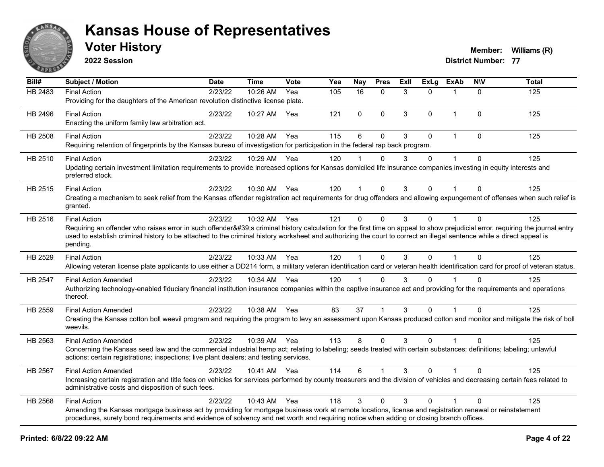

**2022 Session**

**Voter History Member: Williams** (R)

| Bill#          | Subject / Motion                                                                                                                                                                                                                                                                                                                                                | <b>Date</b> | <b>Time</b>  | <b>Vote</b> | Yea | <b>Nay</b>           | <b>Pres</b>  | Exll | $\overline{Ex}$ Lg | <b>ExAb</b>  | <b>NIV</b>   | <b>Total</b> |
|----------------|-----------------------------------------------------------------------------------------------------------------------------------------------------------------------------------------------------------------------------------------------------------------------------------------------------------------------------------------------------------------|-------------|--------------|-------------|-----|----------------------|--------------|------|--------------------|--------------|--------------|--------------|
| <b>HB 2483</b> | <b>Final Action</b>                                                                                                                                                                                                                                                                                                                                             | 2/23/22     | 10:26 AM     | Yea         | 105 | 16                   | $\mathbf{0}$ | 3    | $\Omega$           | $\mathbf 1$  | $\Omega$     | 125          |
|                | Providing for the daughters of the American revolution distinctive license plate.                                                                                                                                                                                                                                                                               |             |              |             |     |                      |              |      |                    |              |              |              |
| HB 2496        | <b>Final Action</b>                                                                                                                                                                                                                                                                                                                                             | 2/23/22     | 10:27 AM     | Yea         | 121 | $\mathbf{0}$         | $\mathbf 0$  | 3    | $\mathbf{0}$       | $\mathbf 1$  | $\mathbf 0$  | 125          |
|                | Enacting the uniform family law arbitration act.                                                                                                                                                                                                                                                                                                                |             |              |             |     |                      |              |      |                    |              |              |              |
| HB 2508        | <b>Final Action</b>                                                                                                                                                                                                                                                                                                                                             | 2/23/22     | 10:28 AM     | Yea         | 115 | 6                    | $\mathbf{0}$ | 3    | $\mathbf{0}$       | $\mathbf{1}$ | $\mathbf{0}$ | 125          |
|                | Requiring retention of fingerprints by the Kansas bureau of investigation for participation in the federal rap back program.                                                                                                                                                                                                                                    |             |              |             |     |                      |              |      |                    |              |              |              |
| HB 2510        | <b>Final Action</b>                                                                                                                                                                                                                                                                                                                                             | 2/23/22     | 10:29 AM Yea |             | 120 |                      | $\Omega$     | 3    | 0                  | 1            | $\Omega$     | 125          |
|                | Updating certain investment limitation requirements to provide increased options for Kansas domiciled life insurance companies investing in equity interests and<br>preferred stock.                                                                                                                                                                            |             |              |             |     |                      |              |      |                    |              |              |              |
| HB 2515        | <b>Final Action</b>                                                                                                                                                                                                                                                                                                                                             | 2/23/22     | 10:30 AM Yea |             | 120 | $\blacktriangleleft$ | $\Omega$     | 3    | $\mathbf{0}$       |              | $\Omega$     | 125          |
|                | Creating a mechanism to seek relief from the Kansas offender registration act requirements for drug offenders and allowing expungement of offenses when such relief is<br>granted.                                                                                                                                                                              |             |              |             |     |                      |              |      |                    |              |              |              |
| HB 2516        | <b>Final Action</b>                                                                                                                                                                                                                                                                                                                                             | 2/23/22     | 10:32 AM Yea |             | 121 | $\Omega$             | $\Omega$     | 3    | $\Omega$           | $\mathbf{1}$ | $\Omega$     | 125          |
|                | Requiring an offender who raises error in such offender's criminal history calculation for the first time on appeal to show prejudicial error, requiring the journal entry<br>used to establish criminal history to be attached to the criminal history worksheet and authorizing the court to correct an illegal sentence while a direct appeal is<br>pending. |             |              |             |     |                      |              |      |                    |              |              |              |
| HB 2529        | <b>Final Action</b>                                                                                                                                                                                                                                                                                                                                             | 2/23/22     | 10:33 AM Yea |             | 120 | $\mathbf{1}$         | $\mathbf{0}$ | 3    | $\Omega$           |              | $\Omega$     | 125          |
|                | Allowing veteran license plate applicants to use either a DD214 form, a military veteran identification card or veteran health identification card for proof of veteran status.                                                                                                                                                                                 |             |              |             |     |                      |              |      |                    |              |              |              |
| <b>HB 2547</b> | <b>Final Action Amended</b>                                                                                                                                                                                                                                                                                                                                     | 2/23/22     | 10:34 AM Yea |             | 120 | $\mathbf 1$          | $\Omega$     | 3    | $\Omega$           |              | $\Omega$     | 125          |
|                | Authorizing technology-enabled fiduciary financial institution insurance companies within the captive insurance act and providing for the requirements and operations<br>thereof.                                                                                                                                                                               |             |              |             |     |                      |              |      |                    |              |              |              |
| HB 2559        | <b>Final Action Amended</b>                                                                                                                                                                                                                                                                                                                                     | 2/23/22     | 10:38 AM Yea |             | 83  | 37                   | 1            | 3    | $\Omega$           |              | $\Omega$     | 125          |
|                | Creating the Kansas cotton boll weevil program and requiring the program to levy an assessment upon Kansas produced cotton and monitor and mitigate the risk of boll<br>weevils.                                                                                                                                                                                |             |              |             |     |                      |              |      |                    |              |              |              |
| HB 2563        | <b>Final Action Amended</b>                                                                                                                                                                                                                                                                                                                                     | 2/23/22     | 10:39 AM Yea |             | 113 | 8                    | $\Omega$     | 3    | $\Omega$           |              | $\Omega$     | 125          |
|                | Concerning the Kansas seed law and the commercial industrial hemp act; relating to labeling; seeds treated with certain substances; definitions; labeling; unlawful<br>actions; certain registrations; inspections; live plant dealers; and testing services.                                                                                                   |             |              |             |     |                      |              |      |                    |              |              |              |
| HB 2567        | <b>Final Action Amended</b>                                                                                                                                                                                                                                                                                                                                     | 2/23/22     | 10:41 AM Yea |             | 114 | 6                    |              | 3    | $\Omega$           |              | $\Omega$     | 125          |
|                | Increasing certain registration and title fees on vehicles for services performed by county treasurers and the division of vehicles and decreasing certain fees related to<br>administrative costs and disposition of such fees.                                                                                                                                |             |              |             |     |                      |              |      |                    |              |              |              |
| HB 2568        | <b>Final Action</b>                                                                                                                                                                                                                                                                                                                                             | 2/23/22     | 10:43 AM     | Yea         | 118 | 3                    | $\mathbf 0$  | 3    | $\Omega$           |              | $\mathbf{0}$ | 125          |
|                | Amending the Kansas mortgage business act by providing for mortgage business work at remote locations, license and registration renewal or reinstatement<br>procedures, surety bond requirements and evidence of solvency and net worth and requiring notice when adding or closing branch offices.                                                             |             |              |             |     |                      |              |      |                    |              |              |              |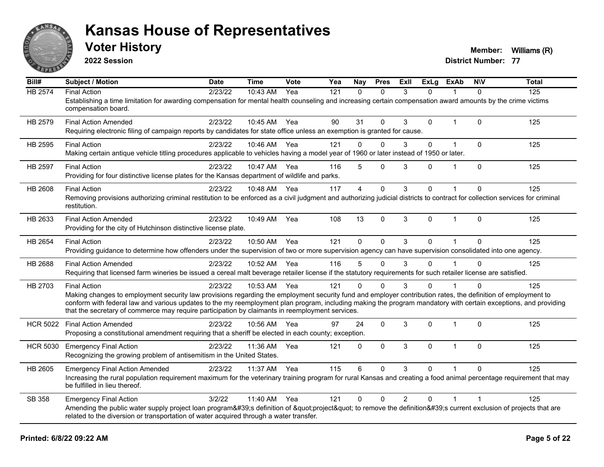

**2022 Session**

**Voter History Member: Williams** (R)

| Bill#           | <b>Subject / Motion</b>                                                                                                                                                                                                                                                                                                                                                                                                                                   | <b>Date</b> | <b>Time</b>  | Vote | Yea | Nay            | <b>Pres</b>  | Exll           | <b>ExLg</b>  | <b>ExAb</b>  | <b>NIV</b>              | <b>Total</b> |
|-----------------|-----------------------------------------------------------------------------------------------------------------------------------------------------------------------------------------------------------------------------------------------------------------------------------------------------------------------------------------------------------------------------------------------------------------------------------------------------------|-------------|--------------|------|-----|----------------|--------------|----------------|--------------|--------------|-------------------------|--------------|
| <b>HB 2574</b>  | <b>Final Action</b><br>Establishing a time limitation for awarding compensation for mental health counseling and increasing certain compensation award amounts by the crime victims<br>compensation board.                                                                                                                                                                                                                                                | 2/23/22     | 10:43 AM     | Yea  | 121 | $\Omega$       | $\Omega$     | 3              | $\Omega$     |              | $\Omega$                | 125          |
| HB 2579         | <b>Final Action Amended</b><br>Requiring electronic filing of campaign reports by candidates for state office unless an exemption is granted for cause.                                                                                                                                                                                                                                                                                                   | 2/23/22     | 10:45 AM Yea |      | 90  | 31             | $\Omega$     | 3              | $\mathbf{0}$ | 1            | $\Omega$                | 125          |
| HB 2595         | <b>Final Action</b><br>Making certain antique vehicle titling procedures applicable to vehicles having a model year of 1960 or later instead of 1950 or later.                                                                                                                                                                                                                                                                                            | 2/23/22     | 10:46 AM     | Yea  | 121 | $\Omega$       | $\Omega$     | 3              | $\Omega$     | $\mathbf{1}$ | $\mathbf{0}$            | 125          |
| HB 2597         | <b>Final Action</b><br>Providing for four distinctive license plates for the Kansas department of wildlife and parks.                                                                                                                                                                                                                                                                                                                                     | 2/23/22     | 10:47 AM     | Yea  | 116 | 5              | $\Omega$     | 3              | $\Omega$     | 1            | $\mathbf 0$             | 125          |
| <b>HB 2608</b>  | <b>Final Action</b><br>Removing provisions authorizing criminal restitution to be enforced as a civil judgment and authorizing judicial districts to contract for collection services for criminal<br>restitution.                                                                                                                                                                                                                                        | 2/23/22     | 10:48 AM     | Yea  | 117 | $\overline{4}$ | $\Omega$     | 3              | 0            |              | $\Omega$                | 125          |
| HB 2633         | <b>Final Action Amended</b><br>Providing for the city of Hutchinson distinctive license plate.                                                                                                                                                                                                                                                                                                                                                            | 2/23/22     | 10:49 AM     | Yea  | 108 | 13             | $\mathbf{0}$ | 3              | $\Omega$     | $\mathbf{1}$ | $\mathbf{0}$            | 125          |
| HB 2654         | <b>Final Action</b><br>Providing guidance to determine how offenders under the supervision of two or more supervision agency can have supervision consolidated into one agency.                                                                                                                                                                                                                                                                           | 2/23/22     | 10:50 AM Yea |      | 121 | $\mathbf{0}$   | $\Omega$     | 3              | $\Omega$     | 1            | $\Omega$                | 125          |
| HB 2688         | <b>Final Action Amended</b><br>Requiring that licensed farm wineries be issued a cereal malt beverage retailer license if the statutory requirements for such retailer license are satisfied.                                                                                                                                                                                                                                                             | 2/23/22     | 10:52 AM     | Yea  | 116 | 5              | $\mathbf 0$  | 3              | $\mathbf{0}$ |              | $\Omega$                | 125          |
| HB 2703         | <b>Final Action</b><br>Making changes to employment security law provisions regarding the employment security fund and employer contribution rates, the definition of employment to<br>conform with federal law and various updates to the my reemployment plan program, including making the program mandatory with certain exceptions, and providing<br>that the secretary of commerce may require participation by claimants in reemployment services. | 2/23/22     | 10:53 AM     | Yea  | 121 | $\Omega$       | $\Omega$     | 3              | 0            |              | $\Omega$                | 125          |
| <b>HCR 5022</b> | <b>Final Action Amended</b><br>Proposing a constitutional amendment requiring that a sheriff be elected in each county; exception.                                                                                                                                                                                                                                                                                                                        | 2/23/22     | 10:56 AM     | Yea  | 97  | 24             | $\mathbf{0}$ | 3              | $\Omega$     | $\mathbf{1}$ | $\mathbf{0}$            | 125          |
| <b>HCR 5030</b> | <b>Emergency Final Action</b><br>Recognizing the growing problem of antisemitism in the United States.                                                                                                                                                                                                                                                                                                                                                    | 2/23/22     | 11:36 AM     | Yea  | 121 | 0              | $\mathbf{0}$ | 3              | $\Omega$     | $\mathbf{1}$ | $\mathbf{0}$            | 125          |
| HB 2605         | <b>Emergency Final Action Amended</b><br>Increasing the rural population requirement maximum for the veterinary training program for rural Kansas and creating a food animal percentage requirement that may<br>be fulfilled in lieu thereof.                                                                                                                                                                                                             | 2/23/22     | 11:37 AM     | Yea  | 115 | 6              | $\Omega$     | 3              | $\Omega$     |              | $\Omega$                | 125          |
| SB 358          | <b>Emergency Final Action</b><br>Amending the public water supply project loan program's definition of "project" to remove the definition's current exclusion of projects that are<br>related to the diversion or transportation of water acquired through a water transfer.                                                                                                                                                                              | 3/2/22      | 11:40 AM     | Yea  | 121 | $\mathbf{0}$   | $\Omega$     | $\overline{2}$ | $\Omega$     | 1            | $\overline{\mathbf{1}}$ | 125          |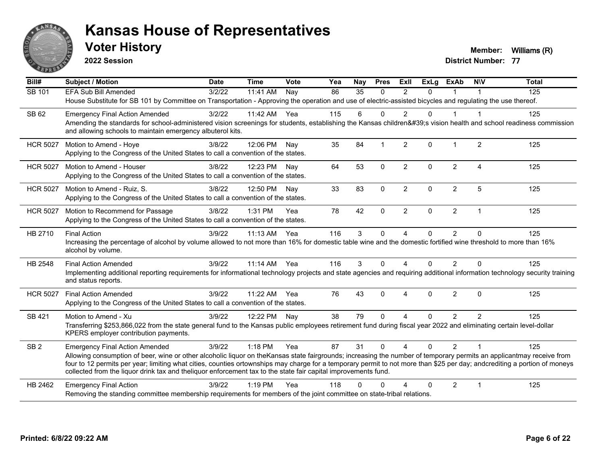

**2022 Session**

**Voter History Member: Williams** (R)

| Bill#           | <b>Subject / Motion</b>                                                                                                                                                                                                                                                                      | <b>Date</b> | <b>Time</b> | <b>Vote</b> | Yea | <b>Nay</b>      | <b>Pres</b>  | Exll                   | <b>ExLg</b> | <b>ExAb</b>    | <b>NIV</b>     | <b>Total</b> |
|-----------------|----------------------------------------------------------------------------------------------------------------------------------------------------------------------------------------------------------------------------------------------------------------------------------------------|-------------|-------------|-------------|-----|-----------------|--------------|------------------------|-------------|----------------|----------------|--------------|
| SB 101          | <b>EFA Sub Bill Amended</b>                                                                                                                                                                                                                                                                  | 3/2/22      | 11:41 AM    | Nay         | 86  | $\overline{35}$ | $\Omega$     | $\overline{2}$         | $\Omega$    |                |                | 125          |
|                 | House Substitute for SB 101 by Committee on Transportation - Approving the operation and use of electric-assisted bicycles and regulating the use thereof.                                                                                                                                   |             |             |             |     |                 |              |                        |             |                |                |              |
| SB 62           | <b>Emergency Final Action Amended</b>                                                                                                                                                                                                                                                        | 3/2/22      | 11:42 AM    | Yea         | 115 | 6               | $\Omega$     | 2                      | 0           |                |                | 125          |
|                 | Amending the standards for school-administered vision screenings for students, establishing the Kansas children's vision health and school readiness commission                                                                                                                              |             |             |             |     |                 |              |                        |             |                |                |              |
|                 | and allowing schools to maintain emergency albuterol kits.                                                                                                                                                                                                                                   |             |             |             |     |                 |              |                        |             |                |                |              |
| <b>HCR 5027</b> | Motion to Amend - Hoye                                                                                                                                                                                                                                                                       | 3/8/22      | 12:06 PM    | Nay         | 35  | 84              | 1            | 2                      | $\Omega$    | 1              | 2              | 125          |
|                 | Applying to the Congress of the United States to call a convention of the states.                                                                                                                                                                                                            |             |             |             |     |                 |              |                        |             |                |                |              |
| <b>HCR 5027</b> | Motion to Amend - Houser                                                                                                                                                                                                                                                                     | 3/8/22      | 12:23 PM    | Nay         | 64  | 53              | $\mathbf{0}$ | $\overline{2}$         | $\Omega$    | $\overline{2}$ | $\overline{A}$ | 125          |
|                 | Applying to the Congress of the United States to call a convention of the states.                                                                                                                                                                                                            |             |             |             |     |                 |              |                        |             |                |                |              |
| <b>HCR 5027</b> | Motion to Amend - Ruiz, S.                                                                                                                                                                                                                                                                   | 3/8/22      | 12:50 PM    | Nay         | 33  | 83              | $\Omega$     | $\overline{2}$         | $\Omega$    | $\overline{c}$ | 5              | 125          |
|                 | Applying to the Congress of the United States to call a convention of the states.                                                                                                                                                                                                            |             |             |             |     |                 |              |                        |             |                |                |              |
| <b>HCR 5027</b> | Motion to Recommend for Passage                                                                                                                                                                                                                                                              | 3/8/22      | 1:31 PM     | Yea         | 78  | 42              | $\Omega$     | $\overline{2}$         | $\Omega$    | $\overline{2}$ | $\mathbf 1$    | 125          |
|                 | Applying to the Congress of the United States to call a convention of the states.                                                                                                                                                                                                            |             |             |             |     |                 |              |                        |             |                |                |              |
| HB 2710         | <b>Final Action</b>                                                                                                                                                                                                                                                                          | 3/9/22      | $11:13$ AM  | Yea         | 116 | 3               | $\Omega$     | $\overline{4}$         | $\Omega$    | 2              | $\Omega$       | 125          |
|                 | Increasing the percentage of alcohol by volume allowed to not more than 16% for domestic table wine and the domestic fortified wine threshold to more than 16%                                                                                                                               |             |             |             |     |                 |              |                        |             |                |                |              |
|                 | alcohol by volume.                                                                                                                                                                                                                                                                           |             |             |             |     |                 |              |                        |             |                |                |              |
| HB 2548         | <b>Final Action Amended</b>                                                                                                                                                                                                                                                                  | 3/9/22      | $11:14$ AM  | Yea         | 116 | 3               | $\Omega$     | $\boldsymbol{\Lambda}$ | 0           | 2              | $\Omega$       | 125          |
|                 | Implementing additional reporting requirements for informational technology projects and state agencies and requiring additional information technology security training<br>and status reports.                                                                                             |             |             |             |     |                 |              |                        |             |                |                |              |
| <b>HCR 5027</b> | <b>Final Action Amended</b>                                                                                                                                                                                                                                                                  | 3/9/22      | 11:22 AM    | Yea         | 76  | 43              | $\Omega$     | $\overline{4}$         | $\Omega$    | 2              | $\mathbf{0}$   | 125          |
|                 | Applying to the Congress of the United States to call a convention of the states.                                                                                                                                                                                                            |             |             |             |     |                 |              |                        |             |                |                |              |
| <b>SB 421</b>   | Motion to Amend - Xu                                                                                                                                                                                                                                                                         | 3/9/22      | 12:22 PM    | Nay         | 38  | 79              | $\Omega$     | $\Delta$               | $\Omega$    | $\overline{2}$ | $\overline{2}$ | 125          |
|                 | Transferring \$253,866,022 from the state general fund to the Kansas public employees retirement fund during fiscal year 2022 and eliminating certain level-dollar                                                                                                                           |             |             |             |     |                 |              |                        |             |                |                |              |
|                 | KPERS employer contribution payments.                                                                                                                                                                                                                                                        |             |             |             |     |                 |              |                        |             |                |                |              |
| SB <sub>2</sub> | <b>Emergency Final Action Amended</b>                                                                                                                                                                                                                                                        | 3/9/22      | 1:18 PM     | Yea         | 87  | 31              | $\Omega$     | $\overline{A}$         | $\Omega$    | $\overline{2}$ |                | 125          |
|                 |                                                                                                                                                                                                                                                                                              |             |             |             |     |                 |              |                        |             |                |                |              |
|                 | Allowing consumption of beer, wine or other alcoholic liquor on the Kansas state fairgrounds; increasing the number of temporary permits an applicantmay receive from                                                                                                                        |             |             |             |     |                 |              |                        |             |                |                |              |
|                 | four to 12 permits per year; limiting what cities, counties ortownships may charge for a temporary permit to not more than \$25 per day; andcrediting a portion of moneys<br>collected from the liquor drink tax and the liquor enforcement tax to the state fair capital improvements fund. |             |             |             |     |                 |              |                        |             |                |                |              |
| HB 2462         | <b>Emergency Final Action</b>                                                                                                                                                                                                                                                                | 3/9/22      | $1:19$ PM   | Yea         | 118 | U               | ∩            |                        | 0           | 2              | $\overline{1}$ | 125          |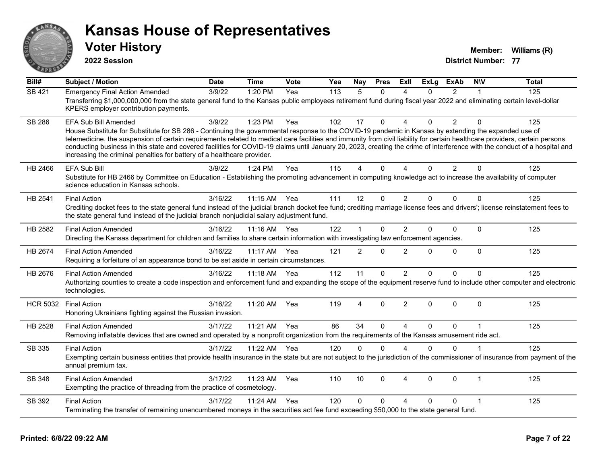

**2022 Session**

**Voter History Member: Williams** (R)

| $\overline{BiII#}$ | <b>Subject / Motion</b>                                                                                                                                                                                                                                                                                                                                                                                                                                                                                                                                                                                                      | <b>Date</b> | <b>Time</b>  | Vote | Yea | <b>Nay</b>     | <b>Pres</b>  | ExIl                   | <b>ExLg</b> | <b>ExAb</b>    | <b>NIV</b>     | <b>Total</b> |
|--------------------|------------------------------------------------------------------------------------------------------------------------------------------------------------------------------------------------------------------------------------------------------------------------------------------------------------------------------------------------------------------------------------------------------------------------------------------------------------------------------------------------------------------------------------------------------------------------------------------------------------------------------|-------------|--------------|------|-----|----------------|--------------|------------------------|-------------|----------------|----------------|--------------|
| SB 421             | <b>Emergency Final Action Amended</b><br>Transferring \$1,000,000,000 from the state general fund to the Kansas public employees retirement fund during fiscal year 2022 and eliminating certain level-dollar<br>KPERS employer contribution payments.                                                                                                                                                                                                                                                                                                                                                                       | 3/9/22      | 1:20 PM      | Yea  | 113 | 5              | $\Omega$     | $\boldsymbol{\Lambda}$ | $\Omega$    | $\overline{2}$ | 1              | 125          |
| <b>SB 286</b>      | <b>EFA Sub Bill Amended</b><br>House Substitute for Substitute for SB 286 - Continuing the governmental response to the COVID-19 pandemic in Kansas by extending the expanded use of<br>telemedicine, the suspension of certain requirements related to medical care facilities and immunity from civil liability for certain healthcare providers, certain persons<br>conducting business in this state and covered facilities for COVID-19 claims until January 20, 2023, creating the crime of interference with the conduct of a hospital and<br>increasing the criminal penalties for battery of a healthcare provider. | 3/9/22      | 1:23 PM      | Yea  | 102 | 17             | $\Omega$     | $\boldsymbol{\Lambda}$ | $\Omega$    | $\overline{2}$ | $\Omega$       | 125          |
| HB 2466            | <b>EFA Sub Bill</b><br>Substitute for HB 2466 by Committee on Education - Establishing the promoting advancement in computing knowledge act to increase the availability of computer<br>science education in Kansas schools.                                                                                                                                                                                                                                                                                                                                                                                                 | 3/9/22      | 1:24 PM      | Yea  | 115 | 4              | $\Omega$     | $\Lambda$              | $\Omega$    | $\overline{2}$ | $\Omega$       | 125          |
| HB 2541            | <b>Final Action</b><br>Crediting docket fees to the state general fund instead of the judicial branch docket fee fund; crediting marriage license fees and drivers'; license reinstatement fees to<br>the state general fund instead of the judicial branch nonjudicial salary adjustment fund.                                                                                                                                                                                                                                                                                                                              | 3/16/22     | 11:15 AM     | Yea  | 111 | 12             | $\mathbf{0}$ | $\overline{2}$         | $\Omega$    | $\Omega$       | $\Omega$       | 125          |
| HB 2582            | <b>Final Action Amended</b><br>Directing the Kansas department for children and families to share certain information with investigating law enforcement agencies.                                                                                                                                                                                                                                                                                                                                                                                                                                                           | 3/16/22     | $11:16$ AM   | Yea  | 122 | 1              | $\mathbf{0}$ | $\overline{2}$         | $\Omega$    | 0              | $\Omega$       | 125          |
| HB 2674            | <b>Final Action Amended</b><br>Requiring a forfeiture of an appearance bond to be set aside in certain circumstances.                                                                                                                                                                                                                                                                                                                                                                                                                                                                                                        | 3/16/22     | 11:17 AM     | Yea  | 121 | $\overline{2}$ | $\Omega$     | $\overline{2}$         | $\Omega$    | 0              | $\Omega$       | 125          |
| HB 2676            | <b>Final Action Amended</b><br>Authorizing counties to create a code inspection and enforcement fund and expanding the scope of the equipment reserve fund to include other computer and electronic<br>technologies.                                                                                                                                                                                                                                                                                                                                                                                                         | 3/16/22     | 11:18 AM Yea |      | 112 | 11             | $\Omega$     | $\overline{2}$         | $\Omega$    | 0              | 0              | 125          |
| <b>HCR 5032</b>    | <b>Final Action</b><br>Honoring Ukrainians fighting against the Russian invasion.                                                                                                                                                                                                                                                                                                                                                                                                                                                                                                                                            | 3/16/22     | 11:20 AM     | Yea  | 119 | 4              | $\Omega$     | $\overline{2}$         | $\Omega$    | $\Omega$       | $\Omega$       | 125          |
| HB 2528            | <b>Final Action Amended</b><br>Removing inflatable devices that are owned and operated by a nonprofit organization from the requirements of the Kansas amusement ride act.                                                                                                                                                                                                                                                                                                                                                                                                                                                   | 3/17/22     | 11:21 AM     | Yea  | 86  | 34             | $\Omega$     | $\boldsymbol{\Lambda}$ | $\Omega$    | 0              | 1              | 125          |
| SB 335             | <b>Final Action</b><br>Exempting certain business entities that provide health insurance in the state but are not subject to the jurisdiction of the commissioner of insurance from payment of the<br>annual premium tax.                                                                                                                                                                                                                                                                                                                                                                                                    | 3/17/22     | 11:22 AM     | Yea  | 120 | $\Omega$       | $\Omega$     | $\boldsymbol{\Lambda}$ | $\Omega$    | 0              | $\overline{1}$ | 125          |
| <b>SB 348</b>      | <b>Final Action Amended</b><br>Exempting the practice of threading from the practice of cosmetology.                                                                                                                                                                                                                                                                                                                                                                                                                                                                                                                         | 3/17/22     | 11:23 AM     | Yea  | 110 | 10             | $\Omega$     | $\boldsymbol{\Lambda}$ | $\Omega$    | $\Omega$       | 1              | 125          |
| SB 392             | <b>Final Action</b><br>Terminating the transfer of remaining unencumbered moneys in the securities act fee fund exceeding \$50,000 to the state general fund.                                                                                                                                                                                                                                                                                                                                                                                                                                                                | 3/17/22     | 11:24 AM     | Yea  | 120 | 0              | $\mathbf{0}$ | $\Delta$               | $\Omega$    | 0              | 1              | 125          |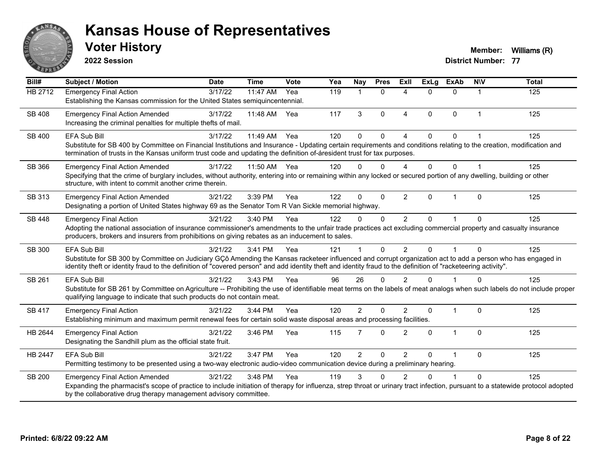

**2022 Session**

**Voter History Member: Williams** (R)

| Bill#         | <b>Subject / Motion</b>                                                                                                                                                                                                                                                                                                                               | <b>Date</b> | <b>Time</b> | Vote | Yea | Nay            | <b>Pres</b>    | ExII           | <b>ExLg</b> | <b>ExAb</b> | <b>NIV</b>   | <b>Total</b> |
|---------------|-------------------------------------------------------------------------------------------------------------------------------------------------------------------------------------------------------------------------------------------------------------------------------------------------------------------------------------------------------|-------------|-------------|------|-----|----------------|----------------|----------------|-------------|-------------|--------------|--------------|
| HB 2712       | <b>Emergency Final Action</b><br>Establishing the Kansas commission for the United States semiquincentennial.                                                                                                                                                                                                                                         | 3/17/22     | 11:47 AM    | Yea  | 119 | 1              | $\Omega$       | $\Delta$       | $\Omega$    | $\Omega$    | 1            | 125          |
| SB 408        | <b>Emergency Final Action Amended</b><br>Increasing the criminal penalties for multiple thefts of mail.                                                                                                                                                                                                                                               | 3/17/22     | 11:48 AM    | Yea  | 117 | 3              | $\Omega$       | $\overline{A}$ | $\Omega$    | $\Omega$    | $\mathbf{1}$ | 125          |
| SB 400        | <b>EFA Sub Bill</b><br>Substitute for SB 400 by Committee on Financial Institutions and Insurance - Updating certain requirements and conditions relating to the creation, modification and<br>termination of trusts in the Kansas uniform trust code and updating the definition of-áresident trust for tax purposes.                                | 3/17/22     | 11:49 AM    | Yea  | 120 | 0              | $\Omega$       | $\Lambda$      | 0           | $\Omega$    |              | 125          |
| SB 366        | <b>Emergency Final Action Amended</b><br>Specifying that the crime of burglary includes, without authority, entering into or remaining within any locked or secured portion of any dwelling, building or other<br>structure, with intent to commit another crime therein.                                                                             | 3/17/22     | 11:50 AM    | Yea  | 120 | U              | ∩              |                | $\Omega$    | U           |              | 125          |
| SB 313        | <b>Emergency Final Action Amended</b><br>Designating a portion of United States highway 69 as the Senator Tom R Van Sickle memorial highway.                                                                                                                                                                                                          | 3/21/22     | 3:39 PM     | Yea  | 122 | 0              | $\mathbf 0$    | 2              | $\Omega$    |             | $\Omega$     | 125          |
| SB 448        | <b>Emergency Final Action</b><br>Adopting the national association of insurance commissioner's amendments to the unfair trade practices act excluding commercial property and casualty insurance<br>producers, brokers and insurers from prohibitions on giving rebates as an inducement to sales.                                                    | 3/21/22     | 3:40 PM     | Yea  | 122 | 0              | $\Omega$       | 2              | 0           |             | $\Omega$     | 125          |
| SB 300        | <b>EFA Sub Bill</b><br>Substitute for SB 300 by Committee on Judiciary GÇô Amending the Kansas racketeer influenced and corrupt organization act to add a person who has engaged in<br>identity theft or identity fraud to the definition of "covered person" and add identity theft and identity fraud to the definition of "racketeering activity". | 3/21/22     | 3:41 PM     | Yea  | 121 |                | $\Omega$       | 2              | $\Omega$    |             | $\Omega$     | 125          |
| SB 261        | <b>EFA Sub Bill</b><br>Substitute for SB 261 by Committee on Agriculture -- Prohibiting the use of identifiable meat terms on the labels of meat analogs when such labels do not include proper<br>qualifying language to indicate that such products do not contain meat.                                                                            | 3/21/22     | 3:43 PM     | Yea  | 96  | 26             | $\Omega$       | $\mathcal{P}$  | U           |             | <sup>0</sup> | 125          |
| <b>SB 417</b> | <b>Emergency Final Action</b><br>Establishing minimum and maximum permit renewal fees for certain solid waste disposal areas and processing facilities.                                                                                                                                                                                               | 3/21/22     | 3:44 PM     | Yea  | 120 | $\overline{2}$ | $\Omega$       | $\mathcal{P}$  | $\Omega$    | 1           | $\Omega$     | 125          |
| HB 2644       | <b>Emergency Final Action</b><br>Designating the Sandhill plum as the official state fruit.                                                                                                                                                                                                                                                           | 3/21/22     | 3:46 PM     | Yea  | 115 | 7              | $\Omega$       | 2              | $\Omega$    | 1           | $\Omega$     | 125          |
| HB 2447       | <b>EFA Sub Bill</b><br>Permitting testimony to be presented using a two-way electronic audio-video communication device during a preliminary hearing.                                                                                                                                                                                                 | 3/21/22     | 3:47 PM     | Yea  | 120 | $\overline{2}$ | $\overline{0}$ | 2              | 0           |             | $\mathbf{0}$ | 125          |
| <b>SB 200</b> | <b>Emergency Final Action Amended</b><br>Expanding the pharmacist's scope of practice to include initiation of therapy for influenza, strep throat or urinary tract infection, pursuant to a statewide protocol adopted<br>by the collaborative drug therapy management advisory committee.                                                           | 3/21/22     | 3:48 PM     | Yea  | 119 | 3              |                |                |             |             | $\Omega$     | 125          |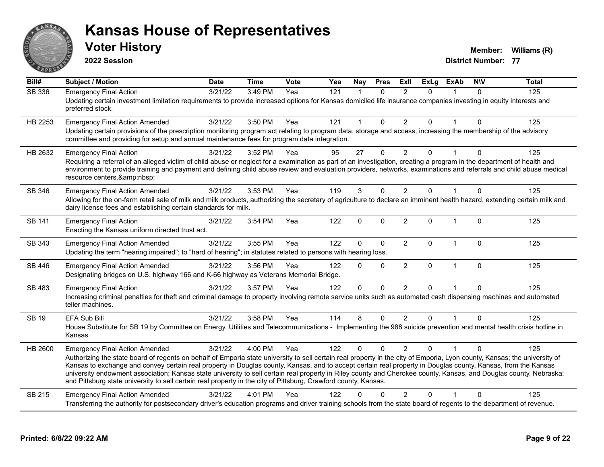

**2022 Session**

**Voter History Member: Williams** (R)

| Bill#         | <b>Subject / Motion</b>                                                                                                                                                                                                                                                                                                                                                                                                                                                                                                                                                                                                                                                      | <b>Date</b> | <b>Time</b> | Vote | Yea              | <b>Nay</b>   | <b>Pres</b>  | <b>Exll</b>    | $\overline{ExLg}$ | <b>ExAb</b>  | <b>NIV</b>  | <b>Total</b> |
|---------------|------------------------------------------------------------------------------------------------------------------------------------------------------------------------------------------------------------------------------------------------------------------------------------------------------------------------------------------------------------------------------------------------------------------------------------------------------------------------------------------------------------------------------------------------------------------------------------------------------------------------------------------------------------------------------|-------------|-------------|------|------------------|--------------|--------------|----------------|-------------------|--------------|-------------|--------------|
| <b>SB 336</b> | <b>Emergency Final Action</b><br>Updating certain investment limitation requirements to provide increased options for Kansas domiciled life insurance companies investing in equity interests and<br>preferred stock.                                                                                                                                                                                                                                                                                                                                                                                                                                                        | 3/21/22     | 3:49 PM     | Yea  | $\overline{121}$ | $\mathbf{1}$ | $\mathbf{0}$ | 2              | $\Omega$          |              | $\Omega$    | 125          |
| HB 2253       | <b>Emergency Final Action Amended</b><br>Updating certain provisions of the prescription monitoring program act relating to program data, storage and access, increasing the membership of the advisory<br>committee and providing for setup and annual maintenance fees for program data integration.                                                                                                                                                                                                                                                                                                                                                                       | 3/21/22     | 3:50 PM     | Yea  | 121              | $\mathbf 1$  | $\mathbf{0}$ | $\overline{2}$ | $\mathbf{0}$      | $\mathbf 1$  | $\Omega$    | 125          |
| HB 2632       | <b>Emergency Final Action</b><br>Requiring a referral of an alleged victim of child abuse or neglect for a examination as part of an investigation, creating a program in the department of health and<br>environment to provide training and payment and defining child abuse review and evaluation providers, networks, examinations and referrals and child abuse medical<br>resource centers.                                                                                                                                                                                                                                                                            | 3/21/22     | 3:52 PM     | Yea  | 95               | 27           | $\Omega$     | $\overline{2}$ | 0                 |              | 0           | 125          |
| SB 346        | <b>Emergency Final Action Amended</b><br>Allowing for the on-farm retail sale of milk and milk products, authorizing the secretary of agriculture to declare an imminent health hazard, extending certain milk and<br>dairy license fees and establishing certain standards for milk.                                                                                                                                                                                                                                                                                                                                                                                        | 3/21/22     | 3:53 PM     | Yea  | 119              | 3            | 0            | $\overline{2}$ | $\Omega$          |              | $\mathbf 0$ | 125          |
| SB 141        | <b>Emergency Final Action</b><br>Enacting the Kansas uniform directed trust act.                                                                                                                                                                                                                                                                                                                                                                                                                                                                                                                                                                                             | 3/21/22     | 3:54 PM     | Yea  | 122              | $\mathbf 0$  | $\mathbf 0$  | $\overline{2}$ | $\Omega$          | $\mathbf{1}$ | $\Omega$    | 125          |
| SB 343        | <b>Emergency Final Action Amended</b><br>Updating the term "hearing impaired"; to "hard of hearing"; in statutes related to persons with hearing loss.                                                                                                                                                                                                                                                                                                                                                                                                                                                                                                                       | 3/21/22     | 3:55 PM     | Yea  | 122              | $\mathbf{0}$ | $\Omega$     | $\overline{2}$ | $\mathbf{0}$      | $\mathbf{1}$ | $\Omega$    | 125          |
| SB 446        | <b>Emergency Final Action Amended</b><br>Designating bridges on U.S. highway 166 and K-66 highway as Veterans Memorial Bridge.                                                                                                                                                                                                                                                                                                                                                                                                                                                                                                                                               | 3/21/22     | 3:56 PM     | Yea  | 122              | $\Omega$     | $\Omega$     | $\overline{2}$ | $\Omega$          | $\mathbf{1}$ | $\Omega$    | 125          |
| SB 483        | <b>Emergency Final Action</b><br>Increasing criminal penalties for theft and criminal damage to property involving remote service units such as automated cash dispensing machines and automated<br>teller machines.                                                                                                                                                                                                                                                                                                                                                                                                                                                         | 3/21/22     | 3:57 PM     | Yea  | 122              | $\Omega$     | $\Omega$     | 2              | $\Omega$          | 1            | $\Omega$    | 125          |
| <b>SB 19</b>  | EFA Sub Bill<br>House Substitute for SB 19 by Committee on Energy, Utilities and Telecommunications - Implementing the 988 suicide prevention and mental health crisis hotline in<br>Kansas.                                                                                                                                                                                                                                                                                                                                                                                                                                                                                 | 3/21/22     | 3:58 PM     | Yea  | 114              | 8            | $\mathbf 0$  | $\overline{2}$ | $\mathbf{0}$      | 1            | $\Omega$    | 125          |
| HB 2600       | <b>Emergency Final Action Amended</b><br>Authorizing the state board of regents on behalf of Emporia state university to sell certain real property in the city of Emporia, Lyon county, Kansas; the university of<br>Kansas to exchange and convey certain real property in Douglas county, Kansas, and to accept certain real property in Douglas county, Kansas, from the Kansas<br>university endowment association; Kansas state university to sell certain real property in Riley county and Cherokee county, Kansas, and Douglas county, Nebraska;<br>and Pittsburg state university to sell certain real property in the city of Pittsburg, Crawford county, Kansas. | 3/21/22     | 4:00 PM     | Yea  | 122              | $\Omega$     | $\Omega$     | $\mathcal{P}$  | <sup>n</sup>      |              | ∩           | 125          |
| SB 215        | <b>Emergency Final Action Amended</b><br>Transferring the authority for postsecondary driver's education programs and driver training schools from the state board of regents to the department of revenue.                                                                                                                                                                                                                                                                                                                                                                                                                                                                  | 3/21/22     | 4:01 PM     | Yea  | 122              | O            | $\Omega$     | $\overline{2}$ | 0                 |              | $\Omega$    | 125          |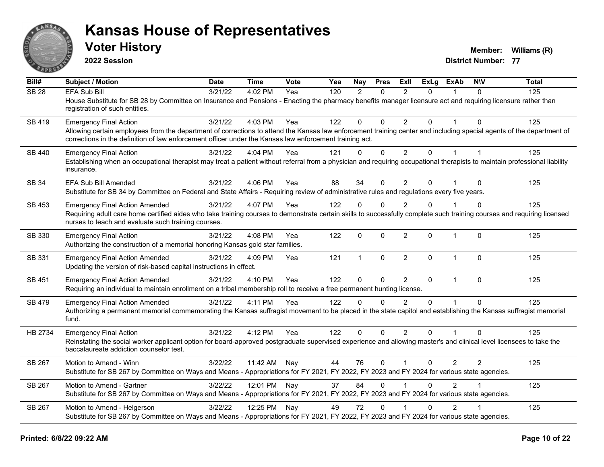

**2022 Session**

**Voter History Member: Williams** (R)

| Bill#            | Subject / Motion                                                                                                                                                                                                                                                                                                 | <b>Date</b> | Time         | <b>Vote</b> | Yea | Nay            | <b>Pres</b>  | ExII           | <b>ExLg</b>  | ExAb           | <b>NIV</b>     | <b>Total</b> |
|------------------|------------------------------------------------------------------------------------------------------------------------------------------------------------------------------------------------------------------------------------------------------------------------------------------------------------------|-------------|--------------|-------------|-----|----------------|--------------|----------------|--------------|----------------|----------------|--------------|
| SB <sub>28</sub> | <b>EFA Sub Bill</b><br>House Substitute for SB 28 by Committee on Insurance and Pensions - Enacting the pharmacy benefits manager licensure act and requiring licensure rather than<br>registration of such entities.                                                                                            | 3/21/22     | 4:02 PM      | Yea         | 120 | $\overline{2}$ | $\Omega$     | $\mathcal{P}$  | $\Omega$     |                | 0              | 125          |
| SB 419           | <b>Emergency Final Action</b><br>Allowing certain employees from the department of corrections to attend the Kansas law enforcement training center and including special agents of the department of<br>corrections in the definition of law enforcement officer under the Kansas law enforcement training act. | 3/21/22     | 4:03 PM      | Yea         | 122 | $\mathbf 0$    | $\mathbf{0}$ | $\overline{2}$ | $\Omega$     |                | $\Omega$       | 125          |
| SB 440           | <b>Emergency Final Action</b><br>Establishing when an occupational therapist may treat a patient without referral from a physician and requiring occupational therapists to maintain professional liability<br>insurance.                                                                                        | 3/21/22     | 4:04 PM      | Yea         | 121 | $\mathbf{0}$   | $\mathbf{0}$ | $\overline{2}$ | $\mathbf{0}$ | $\mathbf{1}$   | $\overline{1}$ | 125          |
| SB 34            | <b>EFA Sub Bill Amended</b><br>Substitute for SB 34 by Committee on Federal and State Affairs - Requiring review of administrative rules and regulations every five years.                                                                                                                                       | 3/21/22     | 4:06 PM      | Yea         | 88  | 34             | $\mathbf{0}$ | $\overline{2}$ | 0            |                | $\Omega$       | 125          |
| SB 453           | <b>Emergency Final Action Amended</b><br>Requiring adult care home certified aides who take training courses to demonstrate certain skills to successfully complete such training courses and requiring licensed<br>nurses to teach and evaluate such training courses.                                          | 3/21/22     | 4:07 PM      | Yea         | 122 | $\Omega$       | $\mathbf{0}$ | $\overline{2}$ | $\Omega$     |                | 0              | 125          |
| SB 330           | <b>Emergency Final Action</b><br>Authorizing the construction of a memorial honoring Kansas gold star families.                                                                                                                                                                                                  | 3/21/22     | 4:08 PM      | Yea         | 122 | $\mathbf 0$    | $\mathbf{0}$ | $\overline{2}$ | $\mathbf{0}$ | $\mathbf{1}$   | $\Omega$       | 125          |
| SB 331           | <b>Emergency Final Action Amended</b><br>Updating the version of risk-based capital instructions in effect.                                                                                                                                                                                                      | 3/21/22     | 4:09 PM      | Yea         | 121 | $\mathbf{1}$   | $\mathbf 0$  | $\overline{2}$ | 0            | $\mathbf{1}$   | $\Omega$       | 125          |
| SB 451           | <b>Emergency Final Action Amended</b><br>Requiring an individual to maintain enrollment on a tribal membership roll to receive a free permanent hunting license.                                                                                                                                                 | 3/21/22     | 4:10 PM      | Yea         | 122 | $\mathbf 0$    | $\mathbf 0$  | $\overline{2}$ | $\mathbf{0}$ | $\mathbf{1}$   | $\Omega$       | 125          |
| SB 479           | <b>Emergency Final Action Amended</b><br>Authorizing a permanent memorial commemorating the Kansas suffragist movement to be placed in the state capitol and establishing the Kansas suffragist memorial<br>fund.                                                                                                | 3/21/22     | 4:11 PM      | Yea         | 122 | $\Omega$       | $\Omega$     | $\overline{2}$ | $\Omega$     |                | $\Omega$       | 125          |
| HB 2734          | <b>Emergency Final Action</b><br>Reinstating the social worker applicant option for board-approved postgraduate supervised experience and allowing master's and clinical level licensees to take the<br>baccalaureate addiction counselor test.                                                                  | 3/21/22     | 4:12 PM      | Yea         | 122 | $\mathbf 0$    | $\mathbf 0$  | $\overline{2}$ | $\Omega$     | $\mathbf{1}$   | $\Omega$       | 125          |
| SB 267           | Motion to Amend - Winn<br>Substitute for SB 267 by Committee on Ways and Means - Appropriations for FY 2021, FY 2022, FY 2023 and FY 2024 for various state agencies.                                                                                                                                            | 3/22/22     | 11:42 AM     | Nay         | 44  | 76             | $\mathbf{0}$ | $\mathbf{1}$   | 0            | 2              | $\overline{2}$ | 125          |
| SB 267           | Motion to Amend - Gartner<br>Substitute for SB 267 by Committee on Ways and Means - Appropriations for FY 2021, FY 2022, FY 2023 and FY 2024 for various state agencies.                                                                                                                                         | 3/22/22     | 12:01 PM Nay |             | 37  | 84             | $\Omega$     |                | 0            | $\overline{2}$ |                | 125          |
| SB 267           | Motion to Amend - Helgerson<br>Substitute for SB 267 by Committee on Ways and Means - Appropriations for FY 2021, FY 2022, FY 2023 and FY 2024 for various state agencies.                                                                                                                                       | 3/22/22     | 12:25 PM     | Nay         | 49  | 72             | $\mathbf{0}$ |                | $\Omega$     | $\overline{2}$ |                | 125          |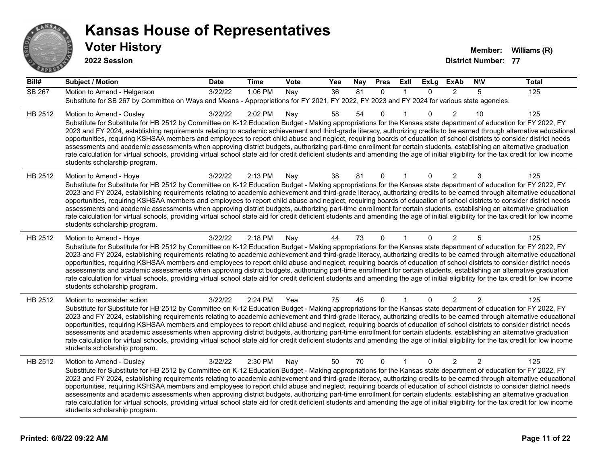

**2022 Session**

| Bill#         | <b>Subject / Motion</b>                                                                                                                                                                                                                                                                                                                                                                                                                                                                                                                                                                                                                                                                                                                                                                                                                                                                                                                             | <b>Date</b> | <b>Time</b> | Vote | Yea | Nay | <b>Pres</b>  | ExII         | <b>ExLg</b>  | <b>ExAb</b>    | <b>NIV</b> | <b>Total</b> |
|---------------|-----------------------------------------------------------------------------------------------------------------------------------------------------------------------------------------------------------------------------------------------------------------------------------------------------------------------------------------------------------------------------------------------------------------------------------------------------------------------------------------------------------------------------------------------------------------------------------------------------------------------------------------------------------------------------------------------------------------------------------------------------------------------------------------------------------------------------------------------------------------------------------------------------------------------------------------------------|-------------|-------------|------|-----|-----|--------------|--------------|--------------|----------------|------------|--------------|
| <b>SB 267</b> | Motion to Amend - Helgerson<br>Substitute for SB 267 by Committee on Ways and Means - Appropriations for FY 2021, FY 2022, FY 2023 and FY 2024 for various state agencies.                                                                                                                                                                                                                                                                                                                                                                                                                                                                                                                                                                                                                                                                                                                                                                          | 3/22/22     | 1:06 PM     | Nay  | 36  | 81  | $\mathbf{0}$ | 1            | $\Omega$     | $\overline{2}$ | 5          | 125          |
| HB 2512       | Motion to Amend - Ousley<br>Substitute for Substitute for HB 2512 by Committee on K-12 Education Budget - Making appropriations for the Kansas state department of education for FY 2022, FY<br>2023 and FY 2024, establishing requirements relating to academic achievement and third-grade literacy, authorizing credits to be earned through alternative educational<br>opportunities, requiring KSHSAA members and employees to report child abuse and neglect, requiring boards of education of school districts to consider district needs<br>assessments and academic assessments when approving district budgets, authorizing part-time enrollment for certain students, establishing an alternative graduation<br>rate calculation for virtual schools, providing virtual school state aid for credit deficient students and amending the age of initial eligibility for the tax credit for low income<br>students scholarship program.    | 3/22/22     | 2:02 PM     | Nay  | 58  | 54  | 0            |              | 0            | $\overline{2}$ | 10         | 125          |
| HB 2512       | Motion to Amend - Hoye<br>Substitute for Substitute for HB 2512 by Committee on K-12 Education Budget - Making appropriations for the Kansas state department of education for FY 2022, FY<br>2023 and FY 2024, establishing requirements relating to academic achievement and third-grade literacy, authorizing credits to be earned through alternative educational<br>opportunities, requiring KSHSAA members and employees to report child abuse and neglect, requiring boards of education of school districts to consider district needs<br>assessments and academic assessments when approving district budgets, authorizing part-time enrollment for certain students, establishing an alternative graduation<br>rate calculation for virtual schools, providing virtual school state aid for credit deficient students and amending the age of initial eligibility for the tax credit for low income<br>students scholarship program.      | 3/22/22     | 2:13 PM     | Nay  | 38  | 81  | $\mathbf 0$  |              | $\Omega$     | $\overline{2}$ | 3          | 125          |
| HB 2512       | Motion to Amend - Hoye<br>Substitute for Substitute for HB 2512 by Committee on K-12 Education Budget - Making appropriations for the Kansas state department of education for FY 2022, FY<br>2023 and FY 2024, establishing requirements relating to academic achievement and third-grade literacy, authorizing credits to be earned through alternative educational<br>opportunities, requiring KSHSAA members and employees to report child abuse and neglect, requiring boards of education of school districts to consider district needs<br>assessments and academic assessments when approving district budgets, authorizing part-time enrollment for certain students, establishing an alternative graduation<br>rate calculation for virtual schools, providing virtual school state aid for credit deficient students and amending the age of initial eligibility for the tax credit for low income<br>students scholarship program.      | 3/22/22     | 2:18 PM     | Nay  | 44  | 73  | 0            |              | 0            | $\overline{2}$ | 5          | 125          |
| HB 2512       | Motion to reconsider action<br>Substitute for Substitute for HB 2512 by Committee on K-12 Education Budget - Making appropriations for the Kansas state department of education for FY 2022, FY<br>2023 and FY 2024, establishing requirements relating to academic achievement and third-grade literacy, authorizing credits to be earned through alternative educational<br>opportunities, requiring KSHSAA members and employees to report child abuse and neglect, requiring boards of education of school districts to consider district needs<br>assessments and academic assessments when approving district budgets, authorizing part-time enrollment for certain students, establishing an alternative graduation<br>rate calculation for virtual schools, providing virtual school state aid for credit deficient students and amending the age of initial eligibility for the tax credit for low income<br>students scholarship program. | 3/22/22     | 2:24 PM     | Yea  | 75  | 45  | 0            | 1            | $\mathbf{0}$ | $\overline{2}$ | 2          | 125          |
| HB 2512       | Motion to Amend - Ousley<br>Substitute for Substitute for HB 2512 by Committee on K-12 Education Budget - Making appropriations for the Kansas state department of education for FY 2022, FY<br>2023 and FY 2024, establishing requirements relating to academic achievement and third-grade literacy, authorizing credits to be earned through alternative educational<br>opportunities, requiring KSHSAA members and employees to report child abuse and neglect, requiring boards of education of school districts to consider district needs<br>assessments and academic assessments when approving district budgets, authorizing part-time enrollment for certain students, establishing an alternative graduation<br>rate calculation for virtual schools, providing virtual school state aid for credit deficient students and amending the age of initial eligibility for the tax credit for low income<br>students scholarship program.    | 3/22/22     | 2:30 PM     | Nay  | 50  | 70  | $\mathbf{0}$ | $\mathbf{1}$ | $\Omega$     | $\overline{2}$ | 2          | 125          |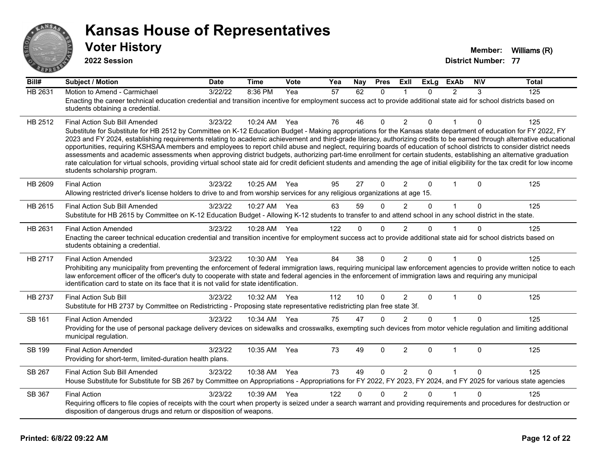

**2022 Session**

| Bill#          | <b>Subject / Motion</b>                                                                                                                                                                                                                                                                                                                                     | <b>Date</b> | <b>Time</b> | Vote | Yea             | Nay          | <b>Pres</b>  | Exll           | <b>ExLg</b> | <b>ExAb</b>   | <b>NIV</b> | <b>Total</b> |
|----------------|-------------------------------------------------------------------------------------------------------------------------------------------------------------------------------------------------------------------------------------------------------------------------------------------------------------------------------------------------------------|-------------|-------------|------|-----------------|--------------|--------------|----------------|-------------|---------------|------------|--------------|
| <b>HB 2631</b> | Motion to Amend - Carmichael                                                                                                                                                                                                                                                                                                                                | 3/22/22     | 8:36 PM     | Yea  | $\overline{57}$ | 62           | $\Omega$     |                | $\Omega$    | $\mathcal{P}$ | 3          | 125          |
|                | Enacting the career technical education credential and transition incentive for employment success act to provide additional state aid for school districts based on<br>students obtaining a credential.                                                                                                                                                    |             |             |      |                 |              |              |                |             |               |            |              |
| HB 2512        | <b>Final Action Sub Bill Amended</b>                                                                                                                                                                                                                                                                                                                        | 3/23/22     | 10:24 AM    | Yea  | 76              | 46           | $\Omega$     | $\overline{2}$ | 0           |               | 0          | 125          |
|                | Substitute for Substitute for HB 2512 by Committee on K-12 Education Budget - Making appropriations for the Kansas state department of education for FY 2022, FY<br>2023 and FY 2024, establishing requirements relating to academic achievement and third-grade literacy, authorizing credits to be earned through alternative educational                 |             |             |      |                 |              |              |                |             |               |            |              |
|                | opportunities, requiring KSHSAA members and employees to report child abuse and neglect, requiring boards of education of school districts to consider district needs                                                                                                                                                                                       |             |             |      |                 |              |              |                |             |               |            |              |
|                | assessments and academic assessments when approving district budgets, authorizing part-time enrollment for certain students, establishing an alternative graduation<br>rate calculation for virtual schools, providing virtual school state aid for credit deficient students and amending the age of initial eligibility for the tax credit for low income |             |             |      |                 |              |              |                |             |               |            |              |
|                | students scholarship program.                                                                                                                                                                                                                                                                                                                               |             |             |      |                 |              |              |                |             |               |            |              |
| HB 2609        | <b>Final Action</b>                                                                                                                                                                                                                                                                                                                                         | 3/23/22     | 10:25 AM    | Yea  | 95              | 27           | $\Omega$     | 2              | $\mathbf 0$ | $\mathbf 1$   | $\Omega$   | 125          |
|                | Allowing restricted driver's license holders to drive to and from worship services for any religious organizations at age 15.                                                                                                                                                                                                                               |             |             |      |                 |              |              |                |             |               |            |              |
| HB 2615        | Final Action Sub Bill Amended                                                                                                                                                                                                                                                                                                                               | 3/23/22     | 10:27 AM    | Yea  | 63              | 59           | $\Omega$     | 2              | $\Omega$    | $\mathbf{1}$  | $\Omega$   | 125          |
|                | Substitute for HB 2615 by Committee on K-12 Education Budget - Allowing K-12 students to transfer to and attend school in any school district in the state.                                                                                                                                                                                                 |             |             |      |                 |              |              |                |             |               |            |              |
| HB 2631        | <b>Final Action Amended</b><br>Enacting the career technical education credential and transition incentive for employment success act to provide additional state aid for school districts based on                                                                                                                                                         | 3/23/22     | 10:28 AM    | Yea  | 122             | $\Omega$     | $\Omega$     | $\overline{2}$ | $\Omega$    |               | $\Omega$   | 125          |
|                | students obtaining a credential.                                                                                                                                                                                                                                                                                                                            |             |             |      |                 |              |              |                |             |               |            |              |
| HB 2717        | <b>Final Action Amended</b>                                                                                                                                                                                                                                                                                                                                 | 3/23/22     | 10:30 AM    | Yea  | 84              | 38           | $\Omega$     | $\overline{2}$ | $\Omega$    | 1             | 0          | 125          |
|                | Prohibiting any municipality from preventing the enforcement of federal immigration laws, requiring municipal law enforcement agencies to provide written notice to each<br>law enforcement officer of the officer's duty to cooperate with state and federal agencies in the enforcement of immigration laws and requiring any municipal                   |             |             |      |                 |              |              |                |             |               |            |              |
|                | identification card to state on its face that it is not valid for state identification.                                                                                                                                                                                                                                                                     |             |             |      |                 |              |              |                |             |               |            |              |
| <b>HB 2737</b> | <b>Final Action Sub Bill</b>                                                                                                                                                                                                                                                                                                                                | 3/23/22     | 10:32 AM    | Yea  | 112             | 10           | $\Omega$     | $\overline{2}$ | $\Omega$    | $\mathbf{1}$  | $\Omega$   | 125          |
|                | Substitute for HB 2737 by Committee on Redistricting - Proposing state representative redistricting plan free state 3f.                                                                                                                                                                                                                                     |             |             |      |                 |              |              |                |             |               |            |              |
| SB 161         | <b>Final Action Amended</b>                                                                                                                                                                                                                                                                                                                                 | 3/23/22     | 10:34 AM    | Yea  | 75              | 47           | $\mathbf{0}$ | $\overline{2}$ | $\Omega$    |               | $\Omega$   | 125          |
|                | Providing for the use of personal package delivery devices on sidewalks and crosswalks, exempting such devices from motor vehicle regulation and limiting additional<br>municipal regulation.                                                                                                                                                               |             |             |      |                 |              |              |                |             |               |            |              |
| <b>SB 199</b>  | <b>Final Action Amended</b>                                                                                                                                                                                                                                                                                                                                 | 3/23/22     | 10:35 AM    | Yea  | 73              | 49           | $\Omega$     | $\overline{2}$ | $\Omega$    | $\mathbf{1}$  | $\Omega$   | 125          |
|                | Providing for short-term, limited-duration health plans.                                                                                                                                                                                                                                                                                                    |             |             |      |                 |              |              |                |             |               |            |              |
| <b>SB 267</b>  | Final Action Sub Bill Amended                                                                                                                                                                                                                                                                                                                               | 3/23/22     | 10:38 AM    | Yea  | 73              | 49           | $\mathbf{0}$ | 2              | $\Omega$    | $\mathbf{1}$  | $\Omega$   | 125          |
|                | House Substitute for Substitute for SB 267 by Committee on Appropriations - Appropriations for FY 2022, FY 2023, FY 2024, and FY 2025 for various state agencies                                                                                                                                                                                            |             |             |      |                 |              |              |                |             |               |            |              |
| SB 367         | <b>Final Action</b>                                                                                                                                                                                                                                                                                                                                         | 3/23/22     | 10:39 AM    | Yea  | 122             | $\mathbf{0}$ | $\mathbf{0}$ | $\overline{2}$ | $\Omega$    |               | $\Omega$   | 125          |
|                | Requiring officers to file copies of receipts with the court when property is seized under a search warrant and providing requirements and procedures for destruction or<br>disposition of dangerous drugs and return or disposition of weapons.                                                                                                            |             |             |      |                 |              |              |                |             |               |            |              |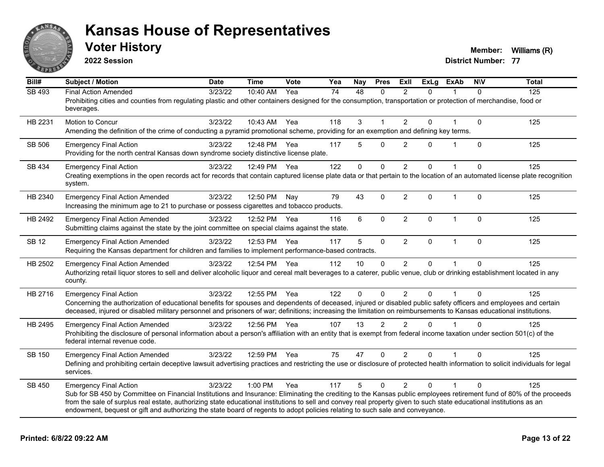

**2022 Session**

**Voter History Member: Williams** (R)

| $\overline{Bill#}$ | <b>Subject / Motion</b>                                                                                                                                                                                                                                                                                                                                                                                                                                                                                        | <b>Date</b> | <b>Time</b>  | Vote | Yea | Nay         | <b>Pres</b>   | ExIl           | <b>ExLg</b> | <b>ExAb</b>  | <b>NIV</b>   | <b>Total</b> |
|--------------------|----------------------------------------------------------------------------------------------------------------------------------------------------------------------------------------------------------------------------------------------------------------------------------------------------------------------------------------------------------------------------------------------------------------------------------------------------------------------------------------------------------------|-------------|--------------|------|-----|-------------|---------------|----------------|-------------|--------------|--------------|--------------|
| <b>SB 493</b>      | <b>Final Action Amended</b><br>Prohibiting cities and counties from regulating plastic and other containers designed for the consumption, transportation or protection of merchandise, food or<br>beverages.                                                                                                                                                                                                                                                                                                   | 3/23/22     | 10:40 AM     | Yea  | 74  | 48          | $\mathbf{0}$  | 2              | $\Omega$    |              | $\Omega$     | 125          |
| HB 2231            | Motion to Concur<br>Amending the definition of the crime of conducting a pyramid promotional scheme, providing for an exemption and defining key terms.                                                                                                                                                                                                                                                                                                                                                        | 3/23/22     | 10:43 AM     | Yea  | 118 | 3           |               | 2              | 0           |              | $\mathbf 0$  | 125          |
| SB 506             | <b>Emergency Final Action</b><br>Providing for the north central Kansas down syndrome society distinctive license plate.                                                                                                                                                                                                                                                                                                                                                                                       | 3/23/22     | 12:48 PM Yea |      | 117 | 5           | $\Omega$      | $\overline{2}$ | $\Omega$    | $\mathbf 1$  | $\mathbf 0$  | 125          |
| SB 434             | <b>Emergency Final Action</b><br>Creating exemptions in the open records act for records that contain captured license plate data or that pertain to the location of an automated license plate recognition<br>system.                                                                                                                                                                                                                                                                                         | 3/23/22     | 12:49 PM     | Yea  | 122 | $\mathbf 0$ | $\mathbf 0$   | 2              | $\Omega$    |              | $\Omega$     | 125          |
| HB 2340            | <b>Emergency Final Action Amended</b><br>Increasing the minimum age to 21 to purchase or possess cigarettes and tobacco products.                                                                                                                                                                                                                                                                                                                                                                              | 3/23/22     | 12:50 PM     | Nay  | 79  | 43          | $\Omega$      | $\overline{2}$ | $\mathbf 0$ | $\mathbf{1}$ | $\mathbf{0}$ | 125          |
| HB 2492            | <b>Emergency Final Action Amended</b><br>Submitting claims against the state by the joint committee on special claims against the state.                                                                                                                                                                                                                                                                                                                                                                       | 3/23/22     | 12:52 PM     | Yea  | 116 | 6           | $\mathbf 0$   | $\overline{2}$ | 0           | $\mathbf{1}$ | $\Omega$     | 125          |
| <b>SB 12</b>       | <b>Emergency Final Action Amended</b><br>Requiring the Kansas department for children and families to implement performance-based contracts.                                                                                                                                                                                                                                                                                                                                                                   | 3/23/22     | 12:53 PM     | Yea  | 117 | 5           | $\mathbf 0$   | $\overline{2}$ | 0           | $\mathbf{1}$ | $\mathbf{0}$ | 125          |
| HB 2502            | <b>Emergency Final Action Amended</b><br>Authorizing retail liquor stores to sell and deliver alcoholic liquor and cereal malt beverages to a caterer, public venue, club or drinking establishment located in any<br>county.                                                                                                                                                                                                                                                                                  | 3/23/22     | 12:54 PM     | Yea  | 112 | 10          | $\Omega$      | 2              | $\Omega$    |              | $\Omega$     | 125          |
| HB 2716            | <b>Emergency Final Action</b><br>Concerning the authorization of educational benefits for spouses and dependents of deceased, injured or disabled public safety officers and employees and certain<br>deceased, injured or disabled military personnel and prisoners of war; definitions; increasing the limitation on reimbursements to Kansas educational institutions.                                                                                                                                      | 3/23/22     | 12:55 PM     | Yea  | 122 | $\Omega$    | $\Omega$      | $\overline{2}$ | $\Omega$    |              | $\Omega$     | 125          |
| HB 2495            | <b>Emergency Final Action Amended</b><br>Prohibiting the disclosure of personal information about a person's affiliation with an entity that is exempt from federal income taxation under section 501(c) of the<br>federal internal revenue code.                                                                                                                                                                                                                                                              | 3/23/22     | 12:56 PM     | Yea  | 107 | 13          | $\mathcal{P}$ | $\mathfrak{p}$ | $\Omega$    |              | $\Omega$     | 125          |
| SB 150             | <b>Emergency Final Action Amended</b><br>Defining and prohibiting certain deceptive lawsuit advertising practices and restricting the use or disclosure of protected health information to solicit individuals for legal<br>services.                                                                                                                                                                                                                                                                          | 3/23/22     | 12:59 PM Yea |      | 75  | 47          | $\mathbf{0}$  | 2              | 0           |              | $\mathbf{0}$ | 125          |
| SB 450             | <b>Emergency Final Action</b><br>Sub for SB 450 by Committee on Financial Institutions and Insurance: Eliminating the crediting to the Kansas public employees retirement fund of 80% of the proceeds<br>from the sale of surplus real estate, authorizing state educational institutions to sell and convey real property given to such state educational institutions as an<br>endowment, bequest or gift and authorizing the state board of regents to adopt policies relating to such sale and conveyance. | 3/23/22     | 1:00 PM      | Yea  | 117 | 5           | $\Omega$      | $\overline{2}$ | $\Omega$    |              | $\Omega$     | 125          |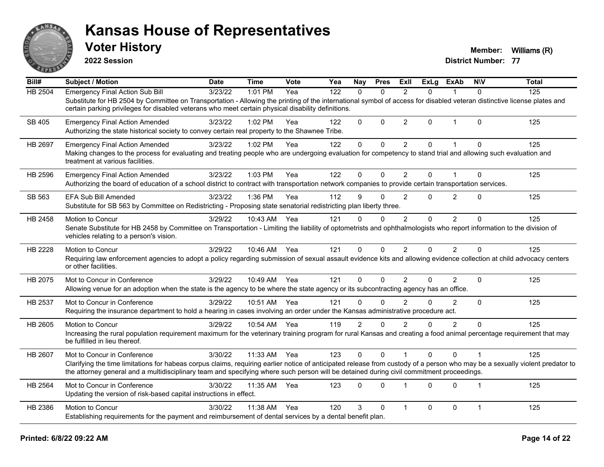

**2022 Session**

**Voter History Member: Williams** (R)

| Bill#   | <b>Subject / Motion</b>                                                                                                                                                                                                                                                                                                                                 | <b>Date</b> | <b>Time</b>  | Vote | Yea | Nay            | <b>Pres</b>  | ExII           | <b>ExLg</b>  | <b>ExAb</b>    | <b>NIV</b>   | <b>Total</b> |
|---------|---------------------------------------------------------------------------------------------------------------------------------------------------------------------------------------------------------------------------------------------------------------------------------------------------------------------------------------------------------|-------------|--------------|------|-----|----------------|--------------|----------------|--------------|----------------|--------------|--------------|
| HB 2504 | <b>Emergency Final Action Sub Bill</b><br>Substitute for HB 2504 by Committee on Transportation - Allowing the printing of the international symbol of access for disabled veteran distinctive license plates and<br>certain parking privileges for disabled veterans who meet certain physical disability definitions.                                 | 3/23/22     | 1:01 PM      | Yea  | 122 | $\Omega$       | $\Omega$     | $\overline{2}$ | 0            | 1              | $\Omega$     | 125          |
| SB 405  | <b>Emergency Final Action Amended</b><br>Authorizing the state historical society to convey certain real property to the Shawnee Tribe.                                                                                                                                                                                                                 | 3/23/22     | 1:02 PM      | Yea  | 122 | 0              | $\Omega$     | $\overline{2}$ | $\Omega$     | $\overline{1}$ | $\Omega$     | 125          |
| HB 2697 | <b>Emergency Final Action Amended</b><br>Making changes to the process for evaluating and treating people who are undergoing evaluation for competency to stand trial and allowing such evaluation and<br>treatment at various facilities.                                                                                                              | 3/23/22     | 1:02 PM      | Yea  | 122 | $\Omega$       | $\Omega$     | $\overline{2}$ | $\mathbf{0}$ | $\overline{1}$ | $\mathbf{0}$ | 125          |
| HB 2596 | <b>Emergency Final Action Amended</b><br>Authorizing the board of education of a school district to contract with transportation network companies to provide certain transportation services.                                                                                                                                                          | 3/23/22     | 1:03 PM      | Yea  | 122 | $\mathbf{0}$   | $\Omega$     | 2              | $\Omega$     |                | $\Omega$     | 125          |
| SB 563  | <b>EFA Sub Bill Amended</b><br>Substitute for SB 563 by Committee on Redistricting - Proposing state senatorial redistricting plan liberty three.                                                                                                                                                                                                       | 3/23/22     | 1:36 PM      | Yea  | 112 | 9              | $\Omega$     | $\overline{2}$ | $\Omega$     | $\overline{2}$ | $\Omega$     | 125          |
| HB 2458 | Motion to Concur<br>Senate Substitute for HB 2458 by Committee on Transportation - Limiting the liability of optometrists and ophthalmologists who report information to the division of<br>vehicles relating to a person's vision.                                                                                                                     | 3/29/22     | 10:43 AM     | Yea  | 121 | $\Omega$       | $\Omega$     | $\overline{2}$ | $\Omega$     | $\overline{2}$ | $\Omega$     | 125          |
| HB 2228 | Motion to Concur<br>Requiring law enforcement agencies to adopt a policy regarding submission of sexual assault evidence kits and allowing evidence collection at child advocacy centers<br>or other facilities.                                                                                                                                        | 3/29/22     | 10:46 AM Yea |      | 121 | $\Omega$       | $\Omega$     | 2              | $\Omega$     | 2              | $\Omega$     | 125          |
| HB 2075 | Mot to Concur in Conference<br>Allowing venue for an adoption when the state is the agency to be where the state agency or its subcontracting agency has an office.                                                                                                                                                                                     | 3/29/22     | 10:49 AM     | Yea  | 121 | 0              | $\mathbf{0}$ | 2              | 0            | $\overline{2}$ | $\mathbf{0}$ | 125          |
| HB 2537 | Mot to Concur in Conference<br>Requiring the insurance department to hold a hearing in cases involving an order under the Kansas administrative procedure act.                                                                                                                                                                                          | 3/29/22     | 10:51 AM     | Yea  | 121 | $\Omega$       | $\Omega$     | $\mathfrak{p}$ | $\Omega$     | $\mathfrak{p}$ | $\Omega$     | 125          |
| HB 2605 | <b>Motion to Concur</b><br>Increasing the rural population requirement maximum for the veterinary training program for rural Kansas and creating a food animal percentage requirement that may<br>be fulfilled in lieu thereof.                                                                                                                         | 3/29/22     | 10:54 AM     | Yea  | 119 | $\overline{2}$ | 0            | $\overline{2}$ | 0            | $\overline{2}$ | $\Omega$     | 125          |
| HB 2607 | Mot to Concur in Conference<br>Clarifying the time limitations for habeas corpus claims, requiring earlier notice of anticipated release from custody of a person who may be a sexually violent predator to<br>the attorney general and a multidisciplinary team and specifying where such person will be detained during civil commitment proceedings. | 3/30/22     | 11:33 AM     | Yea  | 123 | $\mathbf{0}$   | $\Omega$     |                | $\Omega$     | $\Omega$       |              | 125          |
| HB 2564 | Mot to Concur in Conference<br>Updating the version of risk-based capital instructions in effect.                                                                                                                                                                                                                                                       | 3/30/22     | 11:35 AM     | Yea  | 123 | $\Omega$       | $\Omega$     |                | $\Omega$     | $\Omega$       | $\mathbf 1$  | 125          |
| HB 2386 | Motion to Concur<br>Establishing requirements for the payment and reimbursement of dental services by a dental benefit plan.                                                                                                                                                                                                                            | 3/30/22     | 11:38 AM     | Yea  | 120 | 3              | $\mathbf 0$  | $\mathbf 1$    | 0            | 0              | $\mathbf 1$  | 125          |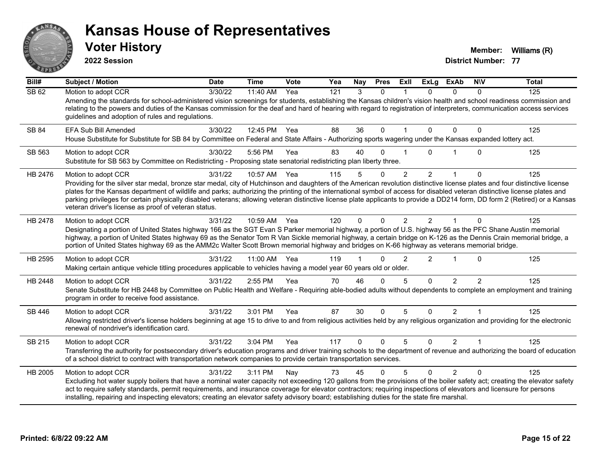

**2022 Session**

**Voter History Member: Williams** (R)

| Bill#   | <b>Subject / Motion</b>                                                                                                                                                                                                                                                                                                                                                                                                                                                                                                                                                                                                 | <b>Date</b> | <b>Time</b> | Vote | Yea | Nay          | <b>Pres</b>  | ExII           | <b>ExLg</b>    | <b>ExAb</b>    | <b>NIV</b>    | <b>Total</b> |
|---------|-------------------------------------------------------------------------------------------------------------------------------------------------------------------------------------------------------------------------------------------------------------------------------------------------------------------------------------------------------------------------------------------------------------------------------------------------------------------------------------------------------------------------------------------------------------------------------------------------------------------------|-------------|-------------|------|-----|--------------|--------------|----------------|----------------|----------------|---------------|--------------|
| SB62    | Motion to adopt CCR<br>Amending the standards for school-administered vision screenings for students, establishing the Kansas children's vision health and school readiness commission and<br>relating to the powers and duties of the Kansas commission for the deaf and hard of hearing with regard to registration of interpreters, communication access services<br>guidelines and adoption of rules and regulations.                                                                                                                                                                                               | 3/30/22     | 11:40 AM    | Yea  | 121 | 3            | $\Omega$     |                | $\Omega$       | $\Omega$       | 0             | 125          |
| SB 84   | <b>EFA Sub Bill Amended</b><br>House Substitute for Substitute for SB 84 by Committee on Federal and State Affairs - Authorizing sports wagering under the Kansas expanded lottery act.                                                                                                                                                                                                                                                                                                                                                                                                                                 | 3/30/22     | 12:45 PM    | Yea  | 88  | 36           | 0            |                | 0              | $\Omega$       | 0             | 125          |
| SB 563  | Motion to adopt CCR<br>Substitute for SB 563 by Committee on Redistricting - Proposing state senatorial redistricting plan liberty three.                                                                                                                                                                                                                                                                                                                                                                                                                                                                               | 3/30/22     | 5:56 PM     | Yea  | 83  | 40           | O            |                | 0              |                | 0             | 125          |
| HB 2476 | Motion to adopt CCR<br>Providing for the silver star medal, bronze star medal, city of Hutchinson and daughters of the American revolution distinctive license plates and four distinctive license<br>plates for the Kansas department of wildlife and parks; authorizing the printing of the international symbol of access for disabled veteran distinctive license plates and<br>parking privileges for certain physically disabled veterans; allowing veteran distinctive license plate applicants to provide a DD214 form, DD form 2 (Retired) or a Kansas<br>veteran driver's license as proof of veteran status. | 3/31/22     | 10:57 AM    | Yea  | 115 | 5            | $\mathbf{0}$ | 2              | $\overline{2}$ | $\mathbf 1$    | $\Omega$      | 125          |
| HB 2478 | Motion to adopt CCR<br>Designating a portion of United States highway 166 as the SGT Evan S Parker memorial highway, a portion of U.S. highway 56 as the PFC Shane Austin memorial<br>highway, a portion of United States highway 69 as the Senator Tom R Van Sickle memorial highway, a certain bridge on K-126 as the Dennis Crain memorial bridge, a<br>portion of United States highway 69 as the AMM2c Walter Scott Brown memorial highway and bridges on K-66 highway as veterans memorial bridge.                                                                                                                | 3/31/22     | 10:59 AM    | Yea  | 120 | $\Omega$     | $\Omega$     | $\overline{2}$ | $\mathcal{P}$  |                | $\Omega$      | 125          |
| HB 2595 | Motion to adopt CCR<br>Making certain antique vehicle titling procedures applicable to vehicles having a model year 60 years old or older.                                                                                                                                                                                                                                                                                                                                                                                                                                                                              | 3/31/22     | 11:00 AM    | Yea  | 119 |              | $\Omega$     | 2              | $\overline{2}$ |                | $\Omega$      | 125          |
| HB 2448 | Motion to adopt CCR<br>Senate Substitute for HB 2448 by Committee on Public Health and Welfare - Requiring able-bodied adults without dependents to complete an employment and training<br>program in order to receive food assistance.                                                                                                                                                                                                                                                                                                                                                                                 | 3/31/22     | 2:55 PM     | Yea  | 70  | 46           | $\Omega$     | 5              | $\Omega$       | $\overline{2}$ | $\mathcal{P}$ | 125          |
| SB 446  | Motion to adopt CCR<br>Allowing restricted driver's license holders beginning at age 15 to drive to and from religious activities held by any religious organization and providing for the electronic<br>renewal of nondriver's identification card.                                                                                                                                                                                                                                                                                                                                                                    | 3/31/22     | 3:01 PM     | Yea  | 87  | 30           | $\Omega$     | 5              | $\Omega$       | $\overline{2}$ |               | 125          |
| SB 215  | Motion to adopt CCR<br>Transferring the authority for postsecondary driver's education programs and driver training schools to the department of revenue and authorizing the board of education<br>of a school district to contract with transportation network companies to provide certain transportation services.                                                                                                                                                                                                                                                                                                   | 3/31/22     | 3:04 PM     | Yea  | 117 | $\mathbf{0}$ | $\mathbf{0}$ | 5              | $\Omega$       | $\overline{2}$ |               | 125          |
| HB 2005 | Motion to adopt CCR<br>Excluding hot water supply boilers that have a nominal water capacity not exceeding 120 gallons from the provisions of the boiler safety act; creating the elevator safety<br>act to require safety standards, permit requirements, and insurance coverage for elevator contractors; requiring inspections of elevators and licensure for persons<br>installing, repairing and inspecting elevators; creating an elevator safety advisory board; establishing duties for the state fire marshal.                                                                                                 | 3/31/22     | 3:11 PM     | Nay  | 73  | 45           | $\Omega$     | 5              | $\Omega$       | $\mathcal{P}$  | $\Omega$      | 125          |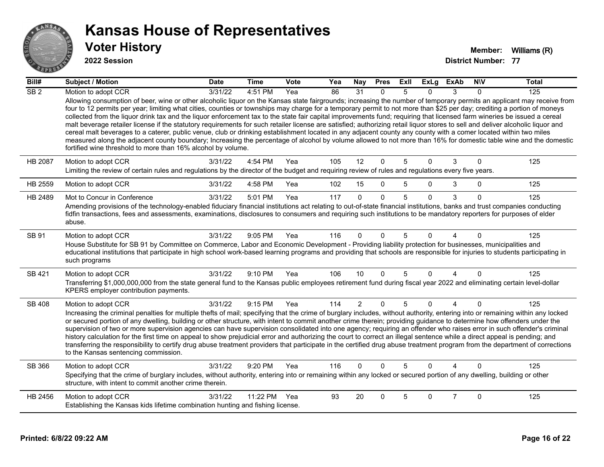

#### **2022 Session**

| Bill#            | <b>Subject / Motion</b>                                                                                                                                                                                                                                                                                                                                                                                                                                                                                                                                                                                                                                                                                                                                                                                                                                                                                                                                                                                                                                                                                                   | <b>Date</b> | Time         | <b>Vote</b> | Yea | <b>Nay</b>     | <b>Pres</b>  | ExII | <b>ExLg</b>  | <b>ExAb</b>    | <b>NIV</b>   | <b>Total</b> |
|------------------|---------------------------------------------------------------------------------------------------------------------------------------------------------------------------------------------------------------------------------------------------------------------------------------------------------------------------------------------------------------------------------------------------------------------------------------------------------------------------------------------------------------------------------------------------------------------------------------------------------------------------------------------------------------------------------------------------------------------------------------------------------------------------------------------------------------------------------------------------------------------------------------------------------------------------------------------------------------------------------------------------------------------------------------------------------------------------------------------------------------------------|-------------|--------------|-------------|-----|----------------|--------------|------|--------------|----------------|--------------|--------------|
| $\overline{SB2}$ | Motion to adopt CCR                                                                                                                                                                                                                                                                                                                                                                                                                                                                                                                                                                                                                                                                                                                                                                                                                                                                                                                                                                                                                                                                                                       | 3/31/22     | 4:51 PM      | Yea         | 86  | 31             | $\Omega$     | 5    | <sup>0</sup> | 3              | $\Omega$     | 125          |
|                  | Allowing consumption of beer, wine or other alcoholic liquor on the Kansas state fairgrounds; increasing the number of temporary permits an applicant may receive from<br>four to 12 permits per year; limiting what cities, counties or townships may charge for a temporary permit to not more than \$25 per day; crediting a portion of moneys<br>collected from the liquor drink tax and the liquor enforcement tax to the state fair capital improvements fund; requiring that licensed farm wineries be issued a cereal<br>malt beverage retailer license if the statutory requirements for such retailer license are satisfied; authorizing retail liquor stores to sell and deliver alcoholic liquor and<br>cereal malt beverages to a caterer, public venue, club or drinking establishment located in any adjacent county any county with a comer located within two miles<br>measured along the adjacent county boundary; Increasing the percentage of alcohol by volume allowed to not more than 16% for domestic table wine and the domestic<br>fortified wine threshold to more than 16% alcohol by volume. |             |              |             |     |                |              |      |              |                |              |              |
| <b>HB 2087</b>   | Motion to adopt CCR                                                                                                                                                                                                                                                                                                                                                                                                                                                                                                                                                                                                                                                                                                                                                                                                                                                                                                                                                                                                                                                                                                       | 3/31/22     | 4:54 PM      | Yea         | 105 | 12             | $\mathbf 0$  | 5    | $\Omega$     | 3              | $\Omega$     | 125          |
|                  | Limiting the review of certain rules and regulations by the director of the budget and requiring review of rules and regulations every five years.                                                                                                                                                                                                                                                                                                                                                                                                                                                                                                                                                                                                                                                                                                                                                                                                                                                                                                                                                                        |             |              |             |     |                |              |      |              |                |              |              |
| HB 2559          | Motion to adopt CCR                                                                                                                                                                                                                                                                                                                                                                                                                                                                                                                                                                                                                                                                                                                                                                                                                                                                                                                                                                                                                                                                                                       | 3/31/22     | 4:58 PM      | Yea         | 102 | 15             | $\mathbf{0}$ | 5    | 0            | 3              | $\mathbf{0}$ | 125          |
| HB 2489          | Mot to Concur in Conference                                                                                                                                                                                                                                                                                                                                                                                                                                                                                                                                                                                                                                                                                                                                                                                                                                                                                                                                                                                                                                                                                               | 3/31/22     | 5:01 PM      | Yea         | 117 | $\Omega$       | $\mathbf{0}$ | 5    | $\Omega$     | 3              | $\Omega$     | 125          |
|                  | Amending provisions of the technology-enabled fiduciary financial institutions act relating to out-of-state financial institutions, banks and trust companies conducting<br>fidfin transactions, fees and assessments, examinations, disclosures to consumers and requiring such institutions to be mandatory reporters for purposes of elder<br>abuse.                                                                                                                                                                                                                                                                                                                                                                                                                                                                                                                                                                                                                                                                                                                                                                   |             |              |             |     |                |              |      |              |                |              |              |
| SB 91            | Motion to adopt CCR                                                                                                                                                                                                                                                                                                                                                                                                                                                                                                                                                                                                                                                                                                                                                                                                                                                                                                                                                                                                                                                                                                       | 3/31/22     | 9:05 PM      | Yea         | 116 | $\Omega$       | $\Omega$     | 5    | $\Omega$     |                | $\Omega$     | 125          |
|                  | House Substitute for SB 91 by Committee on Commerce, Labor and Economic Development - Providing liability protection for businesses, municipalities and<br>educational institutions that participate in high school work-based learning programs and providing that schools are responsible for injuries to students participating in<br>such programs                                                                                                                                                                                                                                                                                                                                                                                                                                                                                                                                                                                                                                                                                                                                                                    |             |              |             |     |                |              |      |              |                |              |              |
| SB 421           | Motion to adopt CCR                                                                                                                                                                                                                                                                                                                                                                                                                                                                                                                                                                                                                                                                                                                                                                                                                                                                                                                                                                                                                                                                                                       | 3/31/22     | $9:10$ PM    | Yea         | 106 | 10             | $\mathbf{0}$ | 5    | $\Omega$     | $\overline{A}$ | $\Omega$     | 125          |
|                  | Transferring \$1,000,000,000 from the state general fund to the Kansas public employees retirement fund during fiscal year 2022 and eliminating certain level-dollar<br>KPERS employer contribution payments.                                                                                                                                                                                                                                                                                                                                                                                                                                                                                                                                                                                                                                                                                                                                                                                                                                                                                                             |             |              |             |     |                |              |      |              |                |              |              |
| SB 408           | Motion to adopt CCR                                                                                                                                                                                                                                                                                                                                                                                                                                                                                                                                                                                                                                                                                                                                                                                                                                                                                                                                                                                                                                                                                                       | 3/31/22     | 9:15 PM      | Yea         | 114 | $\overline{2}$ | $\mathbf 0$  | 5    | $\Omega$     | $\overline{4}$ | $\Omega$     | 125          |
|                  | Increasing the criminal penalties for multiple thefts of mail; specifying that the crime of burglary includes, without authority, entering into or remaining within any locked<br>or secured portion of any dwelling, building or other structure, with intent to commit another crime therein; providing guidance to determine how offenders under the<br>supervision of two or more supervision agencies can have supervision consolidated into one agency; requiring an offender who raises error in such offender's criminal<br>history calculation for the first time on appeal to show prejudicial error and authorizing the court to correct an illegal sentence while a direct appeal is pending; and<br>transferring the responsibility to certify drug abuse treatment providers that participate in the certified drug abuse treatment program from the department of corrections<br>to the Kansas sentencing commission.                                                                                                                                                                                      |             |              |             |     |                |              |      |              |                |              |              |
| SB 366           | Motion to adopt CCR                                                                                                                                                                                                                                                                                                                                                                                                                                                                                                                                                                                                                                                                                                                                                                                                                                                                                                                                                                                                                                                                                                       | 3/31/22     | 9:20 PM      | Yea         | 116 | $\Omega$       | $\Omega$     | 5    | $\Omega$     | Δ              | $\Omega$     | 125          |
|                  | Specifying that the crime of burglary includes, without authority, entering into or remaining within any locked or secured portion of any dwelling, building or other<br>structure, with intent to commit another crime therein.                                                                                                                                                                                                                                                                                                                                                                                                                                                                                                                                                                                                                                                                                                                                                                                                                                                                                          |             |              |             |     |                |              |      |              |                |              |              |
| HB 2456          | Motion to adopt CCR                                                                                                                                                                                                                                                                                                                                                                                                                                                                                                                                                                                                                                                                                                                                                                                                                                                                                                                                                                                                                                                                                                       | 3/31/22     | 11:22 PM Yea |             | 93  | 20             | $\Omega$     | 5    | $\mathbf{0}$ | $\overline{7}$ | $\Omega$     | 125          |
|                  | Establishing the Kansas kids lifetime combination hunting and fishing license.                                                                                                                                                                                                                                                                                                                                                                                                                                                                                                                                                                                                                                                                                                                                                                                                                                                                                                                                                                                                                                            |             |              |             |     |                |              |      |              |                |              |              |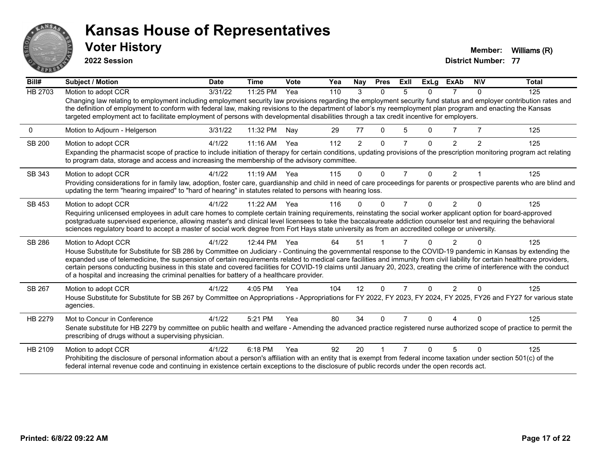

**2022 Session**

**Voter History Member: Williams** (R)

| Bill#         | Subject / Motion                                                                                                                                                                                                                                                                                                                                                                                                                                                                                                                                                                                                        | <b>Date</b> | <b>Time</b> | <b>Vote</b> | Yea | Nay            | <b>Pres</b> | ExIl           | <b>ExLg</b> | <b>ExAb</b>    | <b>NIV</b>   | <b>Total</b> |
|---------------|-------------------------------------------------------------------------------------------------------------------------------------------------------------------------------------------------------------------------------------------------------------------------------------------------------------------------------------------------------------------------------------------------------------------------------------------------------------------------------------------------------------------------------------------------------------------------------------------------------------------------|-------------|-------------|-------------|-----|----------------|-------------|----------------|-------------|----------------|--------------|--------------|
| HB 2703       | Motion to adopt CCR                                                                                                                                                                                                                                                                                                                                                                                                                                                                                                                                                                                                     | 3/31/22     | 11:25 PM    | Yea         | 110 | 3              | $\Omega$    | 5              | $\Omega$    | 7              | $\mathbf{0}$ | 125          |
|               | Changing law relating to employment including employment security law provisions regarding the employment security fund status and employer contribution rates and<br>the definition of employment to conform with federal law, making revisions to the department of labor's my reemployment plan program and enacting the Kansas<br>targeted employment act to facilitate employment of persons with developmental disabilities through a tax credit incentive for employers.                                                                                                                                         |             |             |             |     |                |             |                |             |                |              |              |
| 0             | Motion to Adjourn - Helgerson                                                                                                                                                                                                                                                                                                                                                                                                                                                                                                                                                                                           | 3/31/22     | 11:32 PM    | Nay         | 29  | 77             | 0           | 5              | 0           |                |              | 125          |
| <b>SB 200</b> | Motion to adopt CCR                                                                                                                                                                                                                                                                                                                                                                                                                                                                                                                                                                                                     | 4/1/22      | 11:16 AM    | Yea         | 112 | $\overline{2}$ | $\Omega$    | 7              | 0           | $\mathcal{P}$  | 2            | 125          |
|               | Expanding the pharmacist scope of practice to include initiation of therapy for certain conditions, updating provisions of the prescription monitoring program act relating<br>to program data, storage and access and increasing the membership of the advisory committee.                                                                                                                                                                                                                                                                                                                                             |             |             |             |     |                |             |                |             |                |              |              |
| SB 343        | Motion to adopt CCR                                                                                                                                                                                                                                                                                                                                                                                                                                                                                                                                                                                                     | 4/1/22      | $11:19$ AM  | Yea         | 115 | $\Omega$       | $\Omega$    | $\overline{7}$ | $\Omega$    | $\overline{2}$ |              | 125          |
|               | Providing considerations for in family law, adoption, foster care, guardianship and child in need of care proceedings for parents or prospective parents who are blind and<br>updating the term "hearing impaired" to "hard of hearing" in statutes related to persons with hearing loss.                                                                                                                                                                                                                                                                                                                               |             |             |             |     |                |             |                |             |                |              |              |
| SB 453        | Motion to adopt CCR                                                                                                                                                                                                                                                                                                                                                                                                                                                                                                                                                                                                     | 4/1/22      | $11:22$ AM  | Yea         | 116 | 0              | $\Omega$    | 7              | 0           | $\mathcal{P}$  | ∩            | 125          |
|               | Requiring unlicensed employees in adult care homes to complete certain training requirements, reinstating the social worker applicant option for board-approved                                                                                                                                                                                                                                                                                                                                                                                                                                                         |             |             |             |     |                |             |                |             |                |              |              |
|               | postgraduate supervised experience, allowing master's and clinical level licensees to take the baccalaureate addiction counselor test and requiring the behavioral<br>sciences regulatory board to accept a master of social work degree from Fort Hays state university as from an accredited college or university.                                                                                                                                                                                                                                                                                                   |             |             |             |     |                |             |                |             |                |              |              |
| SB 286        | Motion to Adopt CCR                                                                                                                                                                                                                                                                                                                                                                                                                                                                                                                                                                                                     | 4/1/22      | 12:44 PM    | Yea         | 64  | 51             |             |                |             | 2              |              | 125          |
|               | House Substitute for Substitute for SB 286 by Committee on Judiciary - Continuing the governmental response to the COVID-19 pandemic in Kansas by extending the<br>expanded use of telemedicine, the suspension of certain requirements related to medical care facilities and immunity from civil liability for certain healthcare providers,<br>certain persons conducting business in this state and covered facilities for COVID-19 claims until January 20, 2023, creating the crime of interference with the conduct<br>of a hospital and increasing the criminal penalties for battery of a healthcare provider. |             |             |             |     |                |             |                |             |                |              |              |
| SB 267        | Motion to adopt CCR                                                                                                                                                                                                                                                                                                                                                                                                                                                                                                                                                                                                     | 4/1/22      | 4:05 PM     | Yea         | 104 | 12             | $\Omega$    | $\overline{7}$ | $\Omega$    | 2              | $\Omega$     | 125          |
|               | House Substitute for Substitute for SB 267 by Committee on Appropriations - Appropriations for FY 2022, FY 2023, FY 2024, FY 2025, FY26 and FY27 for various state<br>agencies.                                                                                                                                                                                                                                                                                                                                                                                                                                         |             |             |             |     |                |             |                |             |                |              |              |
| HB 2279       | Mot to Concur in Conference                                                                                                                                                                                                                                                                                                                                                                                                                                                                                                                                                                                             | 4/1/22      | 5:21 PM     | Yea         | 80  | 34             | $\Omega$    |                | U           |                |              | 125          |
|               | Senate substitute for HB 2279 by committee on public health and welfare - Amending the advanced practice registered nurse authorized scope of practice to permit the<br>prescribing of drugs without a supervising physician.                                                                                                                                                                                                                                                                                                                                                                                           |             |             |             |     |                |             |                |             |                |              |              |
| HB 2109       | Motion to adopt CCR                                                                                                                                                                                                                                                                                                                                                                                                                                                                                                                                                                                                     | 4/1/22      | 6:18 PM     | Yea         | 92  | 20             |             |                | n           | 5              | $\Omega$     | 125          |
|               | Prohibiting the disclosure of personal information about a person's affiliation with an entity that is exempt from federal income taxation under section 501(c) of the<br>federal internal revenue code and continuing in existence certain exceptions to the disclosure of public records under the open records act.                                                                                                                                                                                                                                                                                                  |             |             |             |     |                |             |                |             |                |              |              |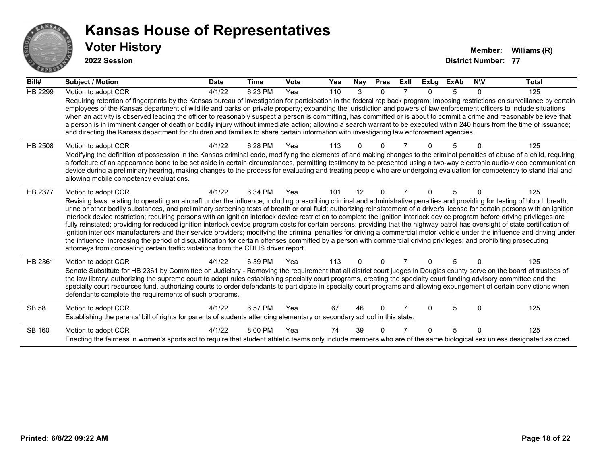

**2022 Session**

| Bill#          | <b>Subject / Motion</b>                                                                                                                                                                                                                                                                                                                                                                                                                                                                                                                                                                                                                                                                                                                                                                                                                                                                                                                                                                                                                                                                                                                                                                               | <b>Date</b> | <b>Time</b> | Vote | Yea | Nay      | <b>Pres</b> | ExII           | <b>ExLg</b> | <b>ExAb</b> | <b>NIV</b> | <b>Total</b> |
|----------------|-------------------------------------------------------------------------------------------------------------------------------------------------------------------------------------------------------------------------------------------------------------------------------------------------------------------------------------------------------------------------------------------------------------------------------------------------------------------------------------------------------------------------------------------------------------------------------------------------------------------------------------------------------------------------------------------------------------------------------------------------------------------------------------------------------------------------------------------------------------------------------------------------------------------------------------------------------------------------------------------------------------------------------------------------------------------------------------------------------------------------------------------------------------------------------------------------------|-------------|-------------|------|-----|----------|-------------|----------------|-------------|-------------|------------|--------------|
| <b>HB 2299</b> | Motion to adopt CCR                                                                                                                                                                                                                                                                                                                                                                                                                                                                                                                                                                                                                                                                                                                                                                                                                                                                                                                                                                                                                                                                                                                                                                                   | 4/1/22      | 6:23 PM     | Yea  | 110 | 3        | 0           |                |             | 5           | $\Omega$   | 125          |
|                | Requiring retention of fingerprints by the Kansas bureau of investigation for participation in the federal rap back program; imposing restrictions on surveillance by certain<br>employees of the Kansas department of wildlife and parks on private property; expanding the jurisdiction and powers of law enforcement officers to include situations<br>when an activity is observed leading the officer to reasonably suspect a person is committing, has committed or is about to commit a crime and reasonably believe that<br>a person is in imminent danger of death or bodily injury without immediate action; allowing a search warrant to be executed within 240 hours from the time of issuance;<br>and directing the Kansas department for children and families to share certain information with investigating law enforcement agencies.                                                                                                                                                                                                                                                                                                                                                |             |             |      |     |          |             |                |             |             |            |              |
| HB 2508        | Motion to adopt CCR<br>Modifying the definition of possession in the Kansas criminal code, modifying the elements of and making changes to the criminal penalties of abuse of a child, requiring<br>a forfeiture of an appearance bond to be set aside in certain circumstances, permitting testimony to be presented using a two-way electronic audio-video communication<br>device during a preliminary hearing, making changes to the process for evaluating and treating people who are undergoing evaluation for competency to stand trial and<br>allowing mobile competency evaluations.                                                                                                                                                                                                                                                                                                                                                                                                                                                                                                                                                                                                        | 4/1/22      | 6:28 PM     | Yea  | 113 |          |             |                |             |             |            | 125          |
| HB 2377        | Motion to adopt CCR<br>Revising laws relating to operating an aircraft under the influence, including prescribing criminal and administrative penalties and providing for testing of blood, breath,<br>urine or other bodily substances, and preliminary screening tests of breath or oral fluid; authorizing reinstatement of a driver's license for certain persons with an ignition<br>interlock device restriction; requiring persons with an ignition interlock device restriction to complete the ignition interlock device program before driving privileges are<br>fully reinstated; providing for reduced ignition interlock device program costs for certain persons; providing that the highway patrol has oversight of state certification of<br>ignition interlock manufacturers and their service providers; modifying the criminal penalties for driving a commercial motor vehicle under the influence and driving under<br>the influence; increasing the period of disqualification for certain offenses committed by a person with commercial driving privileges; and prohibiting prosecuting<br>attorneys from concealing certain traffic violations from the CDLIS driver report. | 4/1/22      | 6:34 PM     | Yea  | 101 | 12       | $\Omega$    | $\overline{7}$ | 0           | 5           | $\Omega$   | 125          |
| HB 2361        | Motion to adopt CCR<br>Senate Substitute for HB 2361 by Committee on Judiciary - Removing the requirement that all district court judges in Douglas county serve on the board of trustees of<br>the law library, authorizing the supreme court to adopt rules establishing specialty court programs, creating the specialty court funding advisory committee and the<br>specialty court resources fund, authorizing courts to order defendants to participate in specialty court programs and allowing expungement of certain convictions when<br>defendants complete the requirements of such programs.                                                                                                                                                                                                                                                                                                                                                                                                                                                                                                                                                                                              | 4/1/22      | 6:39 PM     | Yea  | 113 | $\Omega$ | $\Omega$    |                | $\Omega$    | 5           | $\Omega$   | 125          |
| <b>SB 58</b>   | Motion to adopt CCR<br>Establishing the parents' bill of rights for parents of students attending elementary or secondary school in this state.                                                                                                                                                                                                                                                                                                                                                                                                                                                                                                                                                                                                                                                                                                                                                                                                                                                                                                                                                                                                                                                       | 4/1/22      | 6:57 PM     | Yea  | 67  | 46       | $\Omega$    |                | U           | 5           | $\Omega$   | 125          |
| SB 160         | Motion to adopt CCR<br>Enacting the fairness in women's sports act to require that student athletic teams only include members who are of the same biological sex unless designated as coed.                                                                                                                                                                                                                                                                                                                                                                                                                                                                                                                                                                                                                                                                                                                                                                                                                                                                                                                                                                                                          | 4/1/22      | 8:00 PM     | Yea  | 74  | 39       | $\Omega$    |                | U           | 5           | $\Omega$   | 125          |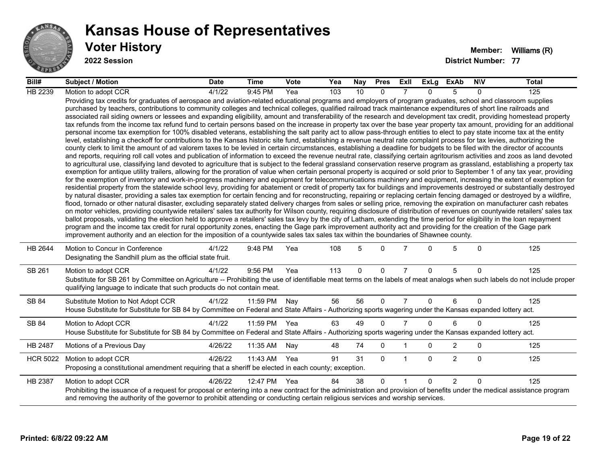

#### **Voter History Member: Williams** (R) **Kansas House of Representatives**

**2022 Session**

| Bill#           | <b>Subject / Motion</b>                                                                                                                                                                                                                                                                                                                                                                                                                                                                                                                                                                                                                                                                                                                                                                                                                                                                                                                                                                                                                                                                                                                                                                                                                                                                                                                                                                                                                                                                                                                                                                                                                                                                                                                                                                                                                                                                                                                                                                                                                                                                                                                                                                                                                                                                                                                                                                                                                                                                                                                                                                                                                                                                                                                                                                                                                                                                                                                                                                                                                                                                                                                                                     | <b>Date</b> | Time     | Vote | Yea | Nay         | <b>Pres</b>  | ExII           | ExLg         | ExAb           | <b>NIV</b>  | <b>Total</b> |
|-----------------|-----------------------------------------------------------------------------------------------------------------------------------------------------------------------------------------------------------------------------------------------------------------------------------------------------------------------------------------------------------------------------------------------------------------------------------------------------------------------------------------------------------------------------------------------------------------------------------------------------------------------------------------------------------------------------------------------------------------------------------------------------------------------------------------------------------------------------------------------------------------------------------------------------------------------------------------------------------------------------------------------------------------------------------------------------------------------------------------------------------------------------------------------------------------------------------------------------------------------------------------------------------------------------------------------------------------------------------------------------------------------------------------------------------------------------------------------------------------------------------------------------------------------------------------------------------------------------------------------------------------------------------------------------------------------------------------------------------------------------------------------------------------------------------------------------------------------------------------------------------------------------------------------------------------------------------------------------------------------------------------------------------------------------------------------------------------------------------------------------------------------------------------------------------------------------------------------------------------------------------------------------------------------------------------------------------------------------------------------------------------------------------------------------------------------------------------------------------------------------------------------------------------------------------------------------------------------------------------------------------------------------------------------------------------------------------------------------------------------------------------------------------------------------------------------------------------------------------------------------------------------------------------------------------------------------------------------------------------------------------------------------------------------------------------------------------------------------------------------------------------------------------------------------------------------------|-------------|----------|------|-----|-------------|--------------|----------------|--------------|----------------|-------------|--------------|
| HB 2239         | Motion to adopt CCR                                                                                                                                                                                                                                                                                                                                                                                                                                                                                                                                                                                                                                                                                                                                                                                                                                                                                                                                                                                                                                                                                                                                                                                                                                                                                                                                                                                                                                                                                                                                                                                                                                                                                                                                                                                                                                                                                                                                                                                                                                                                                                                                                                                                                                                                                                                                                                                                                                                                                                                                                                                                                                                                                                                                                                                                                                                                                                                                                                                                                                                                                                                                                         | 4/1/22      | 9:45 PM  | Yea  | 103 | 10          | 0            |                | <sup>n</sup> | 5              | $\Omega$    | 125          |
|                 | Providing tax credits for graduates of aerospace and aviation-related educational programs and employers of program graduates, school and classroom supplies<br>purchased by teachers, contributions to community colleges and technical colleges, qualified railroad track maintenance expenditures of short line railroads and<br>associated rail siding owners or lessees and expanding eligibility, amount and transferability of the research and development tax credit, providing homestead property<br>tax refunds from the income tax refund fund to certain persons based on the increase in property tax over the base year property tax amount, providing for an additional<br>personal income tax exemption for 100% disabled veterans, establishing the salt parity act to allow pass-through entities to elect to pay state income tax at the entity<br>level, establishing a checkoff for contributions to the Kansas historic site fund, establishing a revenue neutral rate complaint process for tax levies, authorizing the<br>county clerk to limit the amount of ad valorem taxes to be levied in certain circumstances, establishing a deadline for budgets to be filed with the director of accounts<br>and reports, requiring roll call votes and publication of information to exceed the revenue neutral rate, classifying certain agritourism activities and zoos as land devoted<br>to agricultural use, classifying land devoted to agriculture that is subject to the federal grassland conservation reserve program as grassland, establishing a property tax<br>exemption for antique utility trailers, allowing for the proration of value when certain personal property is acquired or sold prior to September 1 of any tax year, providing<br>for the exemption of inventory and work-in-progress machinery and equipment for telecommunications machinery and equipment, increasing the extent of exemption for<br>residential property from the statewide school levy, providing for abatement or credit of property tax for buildings and improvements destroyed or substantially destroyed<br>by natural disaster, providing a sales tax exemption for certain fencing and for reconstructing, repairing or replacing certain fencing damaged or destroyed by a wildfire,<br>flood, tornado or other natural disaster, excluding separately stated delivery charges from sales or selling price, removing the expiration on manufacturer cash rebates<br>on motor vehicles, providing countywide retailers' sales tax authority for Wilson county, requiring disclosure of distribution of revenues on countywide retailers' sales tax<br>ballot proposals, validating the election held to approve a retailers' sales tax levy by the city of Latham, extending the time period for eligibility in the loan repayment<br>program and the income tax credit for rural opportunity zones, enacting the Gage park improvement authority act and providing for the creation of the Gage park<br>improvement authority and an election for the imposition of a countywide sales tax sales tax within the boundaries of Shawnee county. |             |          |      |     |             |              |                |              |                |             |              |
| HB 2644         | Motion to Concur in Conference<br>Designating the Sandhill plum as the official state fruit.                                                                                                                                                                                                                                                                                                                                                                                                                                                                                                                                                                                                                                                                                                                                                                                                                                                                                                                                                                                                                                                                                                                                                                                                                                                                                                                                                                                                                                                                                                                                                                                                                                                                                                                                                                                                                                                                                                                                                                                                                                                                                                                                                                                                                                                                                                                                                                                                                                                                                                                                                                                                                                                                                                                                                                                                                                                                                                                                                                                                                                                                                | 4/1/22      | 9:48 PM  | Yea  | 108 | 5           | $\Omega$     | 7              | $\Omega$     | 5              | $\Omega$    | 125          |
| SB 261          | Motion to adopt CCR<br>Substitute for SB 261 by Committee on Agriculture -- Prohibiting the use of identifiable meat terms on the labels of meat analogs when such labels do not include proper<br>qualifying language to indicate that such products do not contain meat.                                                                                                                                                                                                                                                                                                                                                                                                                                                                                                                                                                                                                                                                                                                                                                                                                                                                                                                                                                                                                                                                                                                                                                                                                                                                                                                                                                                                                                                                                                                                                                                                                                                                                                                                                                                                                                                                                                                                                                                                                                                                                                                                                                                                                                                                                                                                                                                                                                                                                                                                                                                                                                                                                                                                                                                                                                                                                                  | 4/1/22      | 9:56 PM  | Yea  | 113 | $\mathbf 0$ | $\mathbf{0}$ | $\overline{7}$ | $\mathbf{0}$ | 5              | $\Omega$    | 125          |
| SB 84           | Substitute Motion to Not Adopt CCR<br>House Substitute for Substitute for SB 84 by Committee on Federal and State Affairs - Authorizing sports wagering under the Kansas expanded lottery act.                                                                                                                                                                                                                                                                                                                                                                                                                                                                                                                                                                                                                                                                                                                                                                                                                                                                                                                                                                                                                                                                                                                                                                                                                                                                                                                                                                                                                                                                                                                                                                                                                                                                                                                                                                                                                                                                                                                                                                                                                                                                                                                                                                                                                                                                                                                                                                                                                                                                                                                                                                                                                                                                                                                                                                                                                                                                                                                                                                              | 4/1/22      | 11:59 PM | Nay  | 56  | 56          | $\Omega$     | $\overline{7}$ | $\Omega$     | 6              | $\Omega$    | 125          |
| SB 84           | Motion to Adopt CCR<br>House Substitute for Substitute for SB 84 by Committee on Federal and State Affairs - Authorizing sports wagering under the Kansas expanded lottery act.                                                                                                                                                                                                                                                                                                                                                                                                                                                                                                                                                                                                                                                                                                                                                                                                                                                                                                                                                                                                                                                                                                                                                                                                                                                                                                                                                                                                                                                                                                                                                                                                                                                                                                                                                                                                                                                                                                                                                                                                                                                                                                                                                                                                                                                                                                                                                                                                                                                                                                                                                                                                                                                                                                                                                                                                                                                                                                                                                                                             | 4/1/22      | 11:59 PM | Yea  | 63  | 49          | $\Omega$     | $\overline{7}$ | $\Omega$     | 6              | $\Omega$    | 125          |
| HB 2487         | Motions of a Previous Day                                                                                                                                                                                                                                                                                                                                                                                                                                                                                                                                                                                                                                                                                                                                                                                                                                                                                                                                                                                                                                                                                                                                                                                                                                                                                                                                                                                                                                                                                                                                                                                                                                                                                                                                                                                                                                                                                                                                                                                                                                                                                                                                                                                                                                                                                                                                                                                                                                                                                                                                                                                                                                                                                                                                                                                                                                                                                                                                                                                                                                                                                                                                                   | 4/26/22     | 11:35 AM | Nay  | 48  | 74          | $\mathbf 0$  | 1              | $\Omega$     | $\overline{2}$ | 0           | 125          |
| <b>HCR 5022</b> | Motion to adopt CCR<br>Proposing a constitutional amendment requiring that a sheriff be elected in each county; exception.                                                                                                                                                                                                                                                                                                                                                                                                                                                                                                                                                                                                                                                                                                                                                                                                                                                                                                                                                                                                                                                                                                                                                                                                                                                                                                                                                                                                                                                                                                                                                                                                                                                                                                                                                                                                                                                                                                                                                                                                                                                                                                                                                                                                                                                                                                                                                                                                                                                                                                                                                                                                                                                                                                                                                                                                                                                                                                                                                                                                                                                  | 4/26/22     | 11:43 AM | Yea  | 91  | 31          | $\mathbf{0}$ | 1              | $\mathbf{0}$ | $\overline{2}$ | $\mathbf 0$ | 125          |
| HB 2387         | Motion to adopt CCR<br>Prohibiting the issuance of a request for proposal or entering into a new contract for the administration and provision of benefits under the medical assistance program<br>and removing the authority of the governor to prohibit attending or conducting certain religious services and worship services.                                                                                                                                                                                                                                                                                                                                                                                                                                                                                                                                                                                                                                                                                                                                                                                                                                                                                                                                                                                                                                                                                                                                                                                                                                                                                                                                                                                                                                                                                                                                                                                                                                                                                                                                                                                                                                                                                                                                                                                                                                                                                                                                                                                                                                                                                                                                                                                                                                                                                                                                                                                                                                                                                                                                                                                                                                          | 4/26/22     | 12:47 PM | Yea  | 84  | 38          | $\Omega$     | 1              | $\Omega$     | 2              | $\Omega$    | 125          |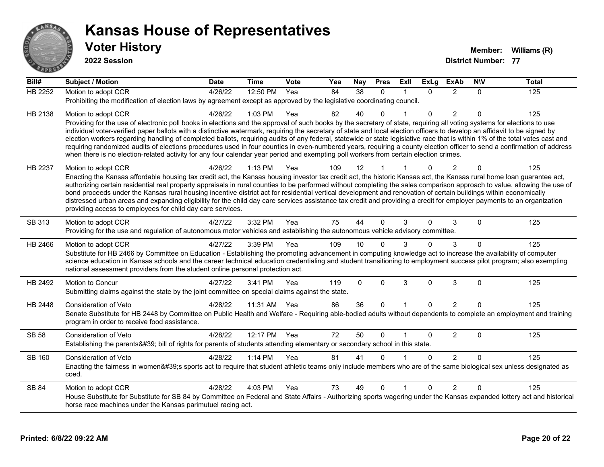

**2022 Session**

| Bill#          | <b>Subject / Motion</b>                                                                                                                                                                                                                                                                                                                                    | <b>Date</b> | <b>Time</b>  | Vote | Yea | Nay      | <b>Pres</b>  | Exll           | <b>ExLg</b> | <b>ExAb</b>    | <b>NIV</b>  | <b>Total</b> |
|----------------|------------------------------------------------------------------------------------------------------------------------------------------------------------------------------------------------------------------------------------------------------------------------------------------------------------------------------------------------------------|-------------|--------------|------|-----|----------|--------------|----------------|-------------|----------------|-------------|--------------|
| <b>HB 2252</b> | Motion to adopt CCR                                                                                                                                                                                                                                                                                                                                        | 4/26/22     | 12:50 PM     | Yea  | 84  | 38       | $\Omega$     | 1              | $\Omega$    | $\overline{2}$ | $\Omega$    | 125          |
|                | Prohibiting the modification of election laws by agreement except as approved by the legislative coordinating council.                                                                                                                                                                                                                                     |             |              |      |     |          |              |                |             |                |             |              |
| HB 2138        | Motion to adopt CCR                                                                                                                                                                                                                                                                                                                                        | 4/26/22     | 1:03 PM      | Yea  | 82  | 40       | $\Omega$     |                | 0           | $\overline{2}$ | $\Omega$    | 125          |
|                | Providing for the use of electronic poll books in elections and the approval of such books by the secretary of state, requiring all voting systems for elections to use                                                                                                                                                                                    |             |              |      |     |          |              |                |             |                |             |              |
|                | individual voter-verified paper ballots with a distinctive watermark, requiring the secretary of state and local election officers to develop an affidavit to be signed by<br>election workers regarding handling of completed ballots, requiring audits of any federal, statewide or state legislative race that is within 1% of the total votes cast and |             |              |      |     |          |              |                |             |                |             |              |
|                | requiring randomized audits of elections procedures used in four counties in even-numbered years, requiring a county election officer to send a confirmation of address                                                                                                                                                                                    |             |              |      |     |          |              |                |             |                |             |              |
|                | when there is no election-related activity for any four calendar year period and exempting poll workers from certain election crimes.                                                                                                                                                                                                                      |             |              |      |     |          |              |                |             |                |             |              |
| HB 2237        | Motion to adopt CCR                                                                                                                                                                                                                                                                                                                                        | 4/26/22     | 1:13 PM      | Yea  | 109 | 12       |              |                | n           | 2              | $\Omega$    | 125          |
|                | Enacting the Kansas affordable housing tax credit act, the Kansas housing investor tax credit act, the historic Kansas act, the Kansas rural home loan guarantee act,                                                                                                                                                                                      |             |              |      |     |          |              |                |             |                |             |              |
|                | authorizing certain residential real property appraisals in rural counties to be performed without completing the sales comparison approach to value, allowing the use of<br>bond proceeds under the Kansas rural housing incentive district act for residential vertical development and renovation of certain buildings within economically              |             |              |      |     |          |              |                |             |                |             |              |
|                | distressed urban areas and expanding eligibility for the child day care services assistance tax credit and providing a credit for employer payments to an organization                                                                                                                                                                                     |             |              |      |     |          |              |                |             |                |             |              |
|                | providing access to employees for child day care services.                                                                                                                                                                                                                                                                                                 |             |              |      |     |          |              |                |             |                |             |              |
| SB 313         | Motion to adopt CCR                                                                                                                                                                                                                                                                                                                                        | 4/27/22     | 3:32 PM      | Yea  | 75  | 44       | $\Omega$     | 3              | 0           | 3              | $\Omega$    | 125          |
|                | Providing for the use and regulation of autonomous motor vehicles and establishing the autonomous vehicle advisory committee.                                                                                                                                                                                                                              |             |              |      |     |          |              |                |             |                |             |              |
| HB 2466        | Motion to adopt CCR                                                                                                                                                                                                                                                                                                                                        | 4/27/22     | 3:39 PM      | Yea  | 109 | 10       |              |                | 0           | 3              | $\Omega$    | 125          |
|                | Substitute for HB 2466 by Committee on Education - Establishing the promoting advancement in computing knowledge act to increase the availability of computer                                                                                                                                                                                              |             |              |      |     |          |              |                |             |                |             |              |
|                | science education in Kansas schools and the career technical education credentialing and student transitioning to employment success pilot program; also exempting<br>national assessment providers from the student online personal protection act.                                                                                                       |             |              |      |     |          |              |                |             |                |             |              |
| HB 2492        | Motion to Concur                                                                                                                                                                                                                                                                                                                                           | 4/27/22     | 3:41 PM      | Yea  | 119 | $\Omega$ | $\mathbf{0}$ | 3              | 0           | 3              | $\Omega$    | 125          |
|                | Submitting claims against the state by the joint committee on special claims against the state.                                                                                                                                                                                                                                                            |             |              |      |     |          |              |                |             |                |             |              |
| HB 2448        | Consideration of Veto                                                                                                                                                                                                                                                                                                                                      | 4/28/22     | 11:31 AM Yea |      | 86  | 36       | $\Omega$     | $\overline{1}$ | $\Omega$    | $\overline{2}$ | $\Omega$    | 125          |
|                | Senate Substitute for HB 2448 by Committee on Public Health and Welfare - Requiring able-bodied adults without dependents to complete an employment and training                                                                                                                                                                                           |             |              |      |     |          |              |                |             |                |             |              |
|                | program in order to receive food assistance.                                                                                                                                                                                                                                                                                                               |             |              |      |     |          |              |                |             |                |             |              |
| <b>SB 58</b>   | <b>Consideration of Veto</b>                                                                                                                                                                                                                                                                                                                               | 4/28/22     | 12:17 PM Yea |      | 72  | 50       | $\mathbf{0}$ |                | 0           | $\overline{2}$ | $\mathbf 0$ | 125          |
|                | Establishing the parents' bill of rights for parents of students attending elementary or secondary school in this state.                                                                                                                                                                                                                                   |             |              |      |     |          |              |                |             |                |             |              |
| <b>SB 160</b>  | Consideration of Veto                                                                                                                                                                                                                                                                                                                                      | 4/28/22     | 1:14 PM      | Yea  | 81  | 41       | $\Omega$     |                | $\Omega$    | $\overline{2}$ | $\Omega$    | 125          |
|                | Enacting the fairness in women's sports act to require that student athletic teams only include members who are of the same biological sex unless designated as                                                                                                                                                                                            |             |              |      |     |          |              |                |             |                |             |              |
|                | coed.                                                                                                                                                                                                                                                                                                                                                      |             |              |      |     |          |              |                |             |                |             |              |
| <b>SB 84</b>   | Motion to adopt CCR                                                                                                                                                                                                                                                                                                                                        | 4/28/22     | 4:03 PM      | Yea  | 73  | 49       | $\Omega$     |                | $\Omega$    | $\overline{2}$ | $\Omega$    | 125          |
|                | House Substitute for Substitute for SB 84 by Committee on Federal and State Affairs - Authorizing sports wagering under the Kansas expanded lottery act and historical                                                                                                                                                                                     |             |              |      |     |          |              |                |             |                |             |              |
|                | horse race machines under the Kansas parimutuel racing act.                                                                                                                                                                                                                                                                                                |             |              |      |     |          |              |                |             |                |             |              |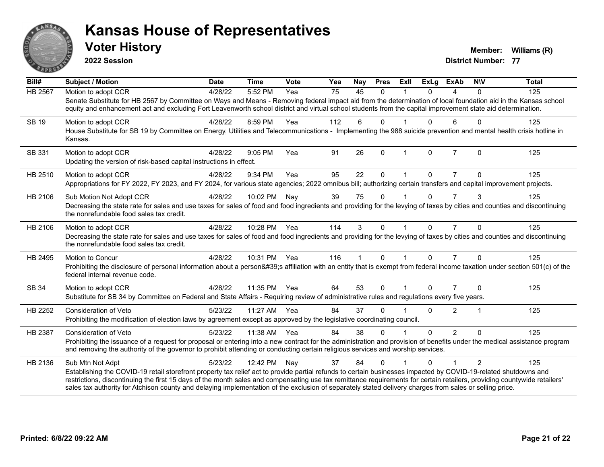

**2022 Session**

**Voter History Member:** Williams (R)

| Bill#          | <b>Subject / Motion</b>                                                                                                                                                                                                                                                                                                             | <b>Date</b> | <b>Time</b>  | Vote | Yea | Nay | <b>Pres</b> | ExIl           | <b>ExLg</b>  | <b>ExAb</b>    | <b>NIV</b>     | <b>Total</b> |
|----------------|-------------------------------------------------------------------------------------------------------------------------------------------------------------------------------------------------------------------------------------------------------------------------------------------------------------------------------------|-------------|--------------|------|-----|-----|-------------|----------------|--------------|----------------|----------------|--------------|
| <b>HB 2567</b> | Motion to adopt CCR                                                                                                                                                                                                                                                                                                                 | 4/28/22     | 5:52 PM      | Yea  | 75  | 45  | $\Omega$    |                | 0            | 4              | 0              | 125          |
|                | Senate Substitute for HB 2567 by Committee on Ways and Means - Removing federal impact aid from the determination of local foundation aid in the Kansas school<br>equity and enhancement act and excluding Fort Leavenworth school district and virtual school students from the capital improvement state aid determination.       |             |              |      |     |     |             |                |              |                |                |              |
| <b>SB 19</b>   | Motion to adopt CCR                                                                                                                                                                                                                                                                                                                 | 4/28/22     | 8:59 PM      | Yea  | 112 | 6   | $\Omega$    |                | 0            | 6              | $\mathbf{0}$   | 125          |
|                | House Substitute for SB 19 by Committee on Energy, Utilities and Telecommunications - Implementing the 988 suicide prevention and mental health crisis hotline in<br>Kansas.                                                                                                                                                        |             |              |      |     |     |             |                |              |                |                |              |
| SB 331         | Motion to adopt CCR                                                                                                                                                                                                                                                                                                                 | 4/28/22     | 9:05 PM      | Yea  | 91  | 26  | $\Omega$    | $\overline{1}$ | $\Omega$     | $\overline{7}$ | $\Omega$       | 125          |
|                | Updating the version of risk-based capital instructions in effect.                                                                                                                                                                                                                                                                  |             |              |      |     |     |             |                |              |                |                |              |
| HB 2510        | Motion to adopt CCR                                                                                                                                                                                                                                                                                                                 | 4/28/22     | 9:34 PM      | Yea  | 95  | 22  | $\Omega$    |                | 0            |                | $\Omega$       | 125          |
|                | Appropriations for FY 2022, FY 2023, and FY 2024, for various state agencies; 2022 omnibus bill; authorizing certain transfers and capital improvement projects.                                                                                                                                                                    |             |              |      |     |     |             |                |              |                |                |              |
| HB 2106        | Sub Motion Not Adopt CCR                                                                                                                                                                                                                                                                                                            | 4/28/22     | 10:02 PM     | Nay  | 39  | 75  | $\Omega$    |                | 0            | $\overline{7}$ | 3              | 125          |
|                | Decreasing the state rate for sales and use taxes for sales of food and food ingredients and providing for the levying of taxes by cities and counties and discontinuing<br>the nonrefundable food sales tax credit.                                                                                                                |             |              |      |     |     |             |                |              |                |                |              |
| HB 2106        | Motion to adopt CCR                                                                                                                                                                                                                                                                                                                 | 4/28/22     | 10:28 PM Yea |      | 114 | 3   | $\Omega$    |                | $\Omega$     | $\overline{7}$ | $\Omega$       | 125          |
|                | Decreasing the state rate for sales and use taxes for sales of food and food ingredients and providing for the levying of taxes by cities and counties and discontinuing<br>the nonrefundable food sales tax credit.                                                                                                                |             |              |      |     |     |             |                |              |                |                |              |
| HB 2495        | Motion to Concur                                                                                                                                                                                                                                                                                                                    | 4/28/22     | 10:31 PM     | Yea  | 116 | 1   | $\Omega$    | 1              | $\Omega$     | $\overline{7}$ | $\Omega$       | 125          |
|                | Prohibiting the disclosure of personal information about a person's affiliation with an entity that is exempt from federal income taxation under section 501(c) of the<br>federal internal revenue code.                                                                                                                            |             |              |      |     |     |             |                |              |                |                |              |
| SB 34          | Motion to adopt CCR                                                                                                                                                                                                                                                                                                                 | 4/28/22     | 11:35 PM     | Yea  | 64  | 53  | $\Omega$    |                | $\mathbf{0}$ |                | $\Omega$       | 125          |
|                | Substitute for SB 34 by Committee on Federal and State Affairs - Requiring review of administrative rules and regulations every five years.                                                                                                                                                                                         |             |              |      |     |     |             |                |              |                |                |              |
| HB 2252        | <b>Consideration of Veto</b>                                                                                                                                                                                                                                                                                                        | 5/23/22     | 11:27 AM     | Yea  | 84  | 37  | $\Omega$    |                | 0            | $\overline{2}$ |                | 125          |
|                | Prohibiting the modification of election laws by agreement except as approved by the legislative coordinating council.                                                                                                                                                                                                              |             |              |      |     |     |             |                |              |                |                |              |
| <b>HB 2387</b> | <b>Consideration of Veto</b>                                                                                                                                                                                                                                                                                                        | 5/23/22     | 11:38 AM     | Yea  | 84  | 38  | $\Omega$    |                | $\Omega$     | $\overline{2}$ | $\Omega$       | 125          |
|                | Prohibiting the issuance of a request for proposal or entering into a new contract for the administration and provision of benefits under the medical assistance program<br>and removing the authority of the governor to prohibit attending or conducting certain religious services and worship services.                         |             |              |      |     |     |             |                |              |                |                |              |
| HB 2136        | Sub Mtn Not Adpt                                                                                                                                                                                                                                                                                                                    | 5/23/22     | 12:42 PM     | Nay  | 37  | 84  | $\Omega$    |                | 0            |                | $\overline{2}$ | 125          |
|                | Establishing the COVID-19 retail storefront property tax relief act to provide partial refunds to certain businesses impacted by COVID-19-related shutdowns and                                                                                                                                                                     |             |              |      |     |     |             |                |              |                |                |              |
|                | restrictions, discontinuing the first 15 days of the month sales and compensating use tax remittance requirements for certain retailers, providing countywide retailers'<br>sales tax authority for Atchison county and delaying implementation of the exclusion of separately stated delivery charges from sales or selling price. |             |              |      |     |     |             |                |              |                |                |              |